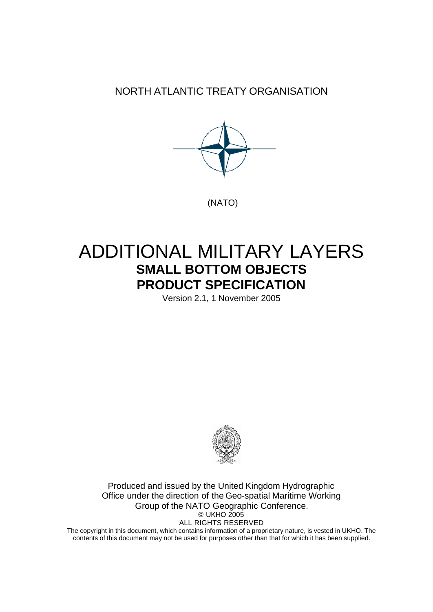NORTH ATLANTIC TREATY ORGANISATION



# ADDITIONAL MILITARY LAYERS **SMALL BOTTOM OBJECTS PRODUCT SPECIFICATION**

Version 2.1, 1 November 2005



Produced and issued by the United Kingdom Hydrographic Office under the direction of the Geo-spatial Maritime Working Group of the NATO Geographic Conference. © UKHO 2005 ALL RIGHTS RESERVED

The copyright in this document, which contains information of a proprietary nature, is vested in UKHO. The contents of this document may not be used for purposes other than that for which it has been supplied.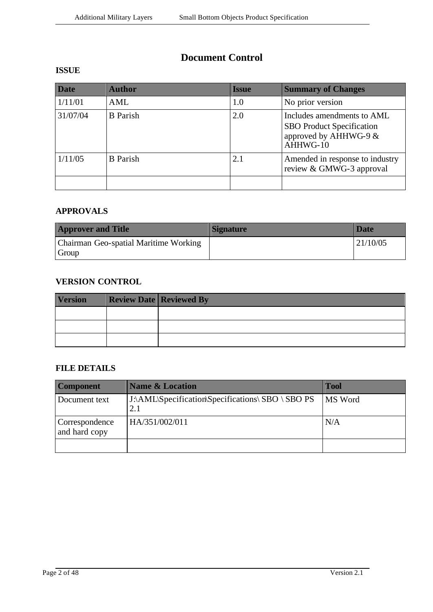### **Document Control**

### **ISSUE**

| <b>Date</b> | <b>Author</b>   | Issue | <b>Summary of Changes</b>                                                                             |
|-------------|-----------------|-------|-------------------------------------------------------------------------------------------------------|
| 1/11/01     | AML             | 1.0   | No prior version                                                                                      |
| 31/07/04    | <b>B</b> Parish | 2.0   | Includes amendments to AML<br><b>SBO</b> Product Specification<br>approved by AHHWG-9 $&$<br>AHHWG-10 |
| 1/11/05     | <b>B</b> Parish | 2.1   | Amended in response to industry<br>review & GMWG-3 approval                                           |
|             |                 |       |                                                                                                       |

### **APPROVALS**

| <b>Approver and Title</b>                      | Signature | <b>Date</b> |
|------------------------------------------------|-----------|-------------|
| Chairman Geo-spatial Maritime Working<br>Group |           | 21/10/05    |

### **VERSION CONTROL**

| <b>Version</b> | <b>Review Date Reviewed By</b> |
|----------------|--------------------------------|
|                |                                |
|                |                                |
|                |                                |

#### **FILE DETAILS**

| <b>Component</b>                | <b>Name &amp; Location</b>                        | <b>Tool</b> |
|---------------------------------|---------------------------------------------------|-------------|
| Document text                   | J:\AML\Specification\Specifications\ SBO \ SBO PS | MS Word     |
| Correspondence<br>and hard copy | HA/351/002/011                                    | N/A         |
|                                 |                                                   |             |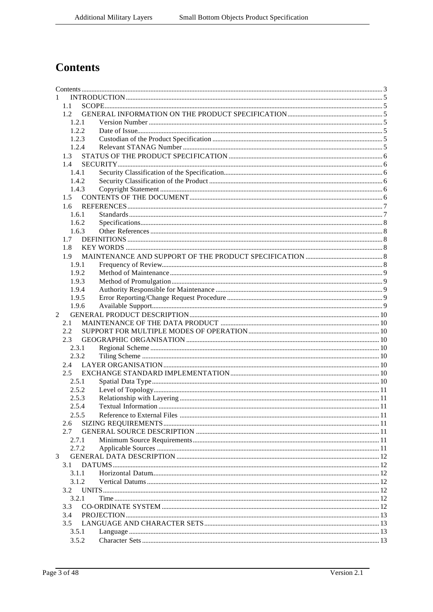# **Contents**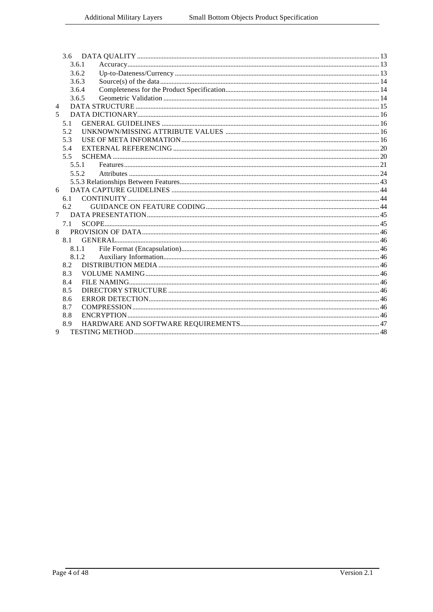|                | 3.6.1 |       |  |
|----------------|-------|-------|--|
|                | 3.6.2 |       |  |
|                | 3.6.3 |       |  |
|                | 3.6.4 |       |  |
|                | 3.6.5 |       |  |
| $\overline{4}$ |       |       |  |
| 5.             |       |       |  |
|                | 5.1   |       |  |
|                | 5.2   |       |  |
|                | 5.3   |       |  |
|                | 5.4   |       |  |
|                | 5.5   |       |  |
|                | 5.5.1 |       |  |
|                | 5.5.2 |       |  |
|                |       |       |  |
| 6              |       |       |  |
|                | 6.1   |       |  |
|                | 6.2   |       |  |
| $\tau$         |       |       |  |
|                | 7.1   |       |  |
| 8              |       |       |  |
|                | 8.1   |       |  |
|                |       | 8.1.1 |  |
|                | 8.1.2 |       |  |
|                | 8.2   |       |  |
|                | 8.3   |       |  |
|                | 8.4   |       |  |
|                | 8.5   |       |  |
|                | 8.6   |       |  |
|                | 8.7   |       |  |
|                | 8.8   |       |  |
|                | 8.9   |       |  |
| 9              |       |       |  |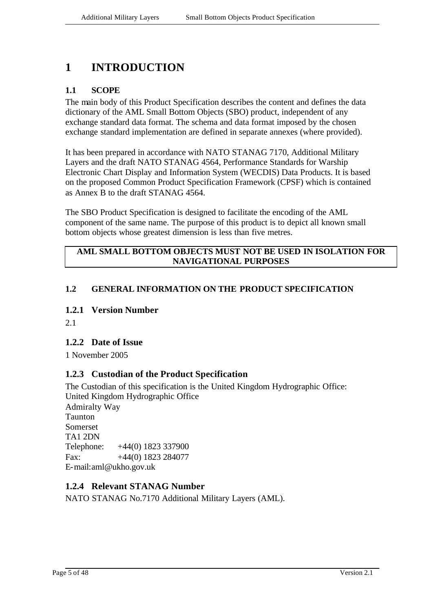# **1 INTRODUCTION**

#### **1.1 SCOPE**

The main body of this Product Specification describes the content and defines the data dictionary of the AML Small Bottom Objects (SBO) product, independent of any exchange standard data format. The schema and data format imposed by the chosen exchange standard implementation are defined in separate annexes (where provided).

It has been prepared in accordance with NATO STANAG 7170, Additional Military Layers and the draft NATO STANAG 4564, Performance Standards for Warship Electronic Chart Display and Information System (WECDIS) Data Products. It is based on the proposed Common Product Specification Framework (CPSF) which is contained as Annex B to the draft STANAG 4564.

The SBO Product Specification is designed to facilitate the encoding of the AML component of the same name. The purpose of this product is to depict all known small bottom objects whose greatest dimension is less than five metres.

#### **AML SMALL BOTTOM OBJECTS MUST NOT BE USED IN ISOLATION FOR NAVIGATIONAL PURPOSES**

#### **1.2 GENERAL INFORMATION ON THE PRODUCT SPECIFICATION**

#### **1.2.1 Version Number**

2.1

#### **1.2.2 Date of Issue**

1 November 2005

### **1.2.3 Custodian of the Product Specification**

The Custodian of this specification is the United Kingdom Hydrographic Office: United Kingdom Hydrographic Office Admiralty Way Taunton Somerset TA1 2DN Telephone: +44(0) 1823 337900 Fax: +44(0) 1823 284077 E-mail:aml@ukho.gov.uk

#### **1.2.4 Relevant STANAG Number**

NATO STANAG No.7170 Additional Military Layers (AML).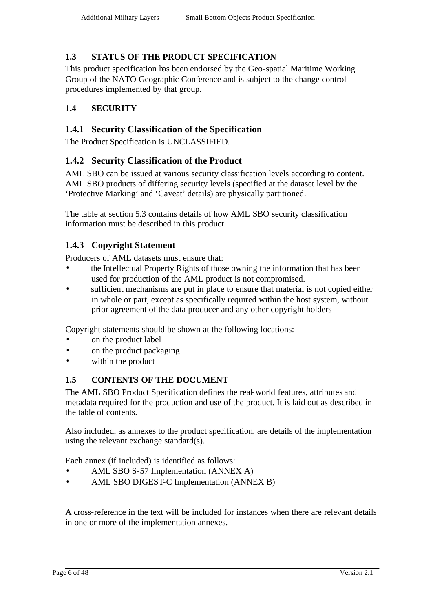#### **1.3 STATUS OF THE PRODUCT SPECIFICATION**

This product specification has been endorsed by the Geo-spatial Maritime Working Group of the NATO Geographic Conference and is subject to the change control procedures implemented by that group.

#### **1.4 SECURITY**

#### **1.4.1 Security Classification of the Specification**

The Product Specification is UNCLASSIFIED.

#### **1.4.2 Security Classification of the Product**

AML SBO can be issued at various security classification levels according to content. AML SBO products of differing security levels (specified at the dataset level by the 'Protective Marking' and 'Caveat' details) are physically partitioned.

The table at section 5.3 contains details of how AML SBO security classification information must be described in this product.

### **1.4.3 Copyright Statement**

Producers of AML datasets must ensure that:

- the Intellectual Property Rights of those owning the information that has been used for production of the AML product is not compromised.
- sufficient mechanisms are put in place to ensure that material is not copied either in whole or part, except as specifically required within the host system, without prior agreement of the data producer and any other copyright holders

Copyright statements should be shown at the following locations:

- on the product label
- on the product packaging
- within the product

#### **1.5 CONTENTS OF THE DOCUMENT**

The AML SBO Product Specification defines the real-world features, attributes and metadata required for the production and use of the product. It is laid out as described in the table of contents.

Also included, as annexes to the product specification, are details of the implementation using the relevant exchange standard(s).

Each annex (if included) is identified as follows:

- AML SBO S-57 Implementation (ANNEX A)
- AML SBO DIGEST-C Implementation (ANNEX B)

A cross-reference in the text will be included for instances when there are relevant details in one or more of the implementation annexes.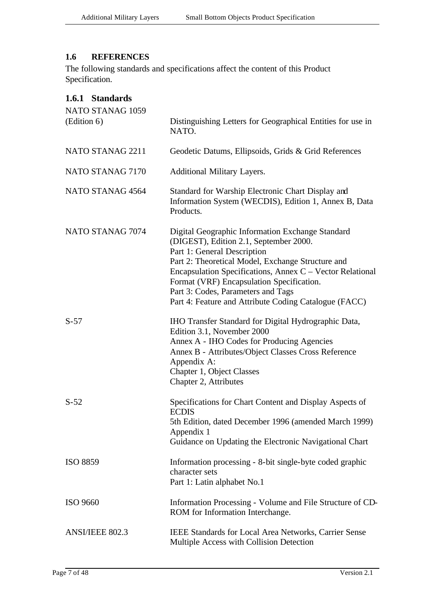#### **1.6 REFERENCES**

The following standards and specifications affect the content of this Product Specification.

| 1.6.1 Standards<br>NATO STANAG 1059<br>(Edition 6) | Distinguishing Letters for Geographical Entities for use in<br>NATO.                                                                                                                                                                                                                                                                                                                    |
|----------------------------------------------------|-----------------------------------------------------------------------------------------------------------------------------------------------------------------------------------------------------------------------------------------------------------------------------------------------------------------------------------------------------------------------------------------|
| NATO STANAG 2211                                   | Geodetic Datums, Ellipsoids, Grids & Grid References                                                                                                                                                                                                                                                                                                                                    |
| NATO STANAG 7170                                   | Additional Military Layers.                                                                                                                                                                                                                                                                                                                                                             |
| NATO STANAG 4564                                   | Standard for Warship Electronic Chart Display and<br>Information System (WECDIS), Edition 1, Annex B, Data<br>Products.                                                                                                                                                                                                                                                                 |
| NATO STANAG 7074                                   | Digital Geographic Information Exchange Standard<br>(DIGEST), Edition 2.1, September 2000.<br>Part 1: General Description<br>Part 2: Theoretical Model, Exchange Structure and<br>Encapsulation Specifications, Annex C – Vector Relational<br>Format (VRF) Encapsulation Specification.<br>Part 3: Codes, Parameters and Tags<br>Part 4: Feature and Attribute Coding Catalogue (FACC) |
| $S-57$                                             | IHO Transfer Standard for Digital Hydrographic Data,<br>Edition 3.1, November 2000<br>Annex A - IHO Codes for Producing Agencies<br>Annex B - Attributes/Object Classes Cross Reference<br>Appendix A:<br>Chapter 1, Object Classes<br>Chapter 2, Attributes                                                                                                                            |
| $S-52$                                             | Specifications for Chart Content and Display Aspects of<br><b>ECDIS</b><br>5th Edition, dated December 1996 (amended March 1999)<br>Appendix 1<br>Guidance on Updating the Electronic Navigational Chart                                                                                                                                                                                |
| <b>ISO 8859</b>                                    | Information processing - 8-bit single-byte coded graphic<br>character sets<br>Part 1: Latin alphabet No.1                                                                                                                                                                                                                                                                               |
| <b>ISO 9660</b>                                    | Information Processing - Volume and File Structure of CD-<br>ROM for Information Interchange.                                                                                                                                                                                                                                                                                           |
| ANSI/IEEE 802.3                                    | <b>IEEE Standards for Local Area Networks, Carrier Sense</b><br>Multiple Access with Collision Detection                                                                                                                                                                                                                                                                                |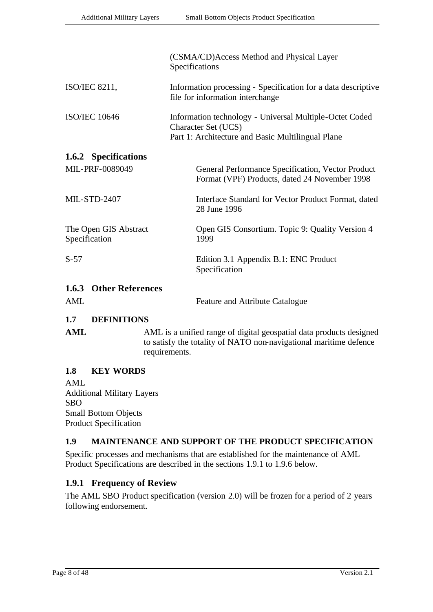|                                        | (CSMA/CD)Access Method and Physical Layer<br>Specifications                                                                                |  |  |
|----------------------------------------|--------------------------------------------------------------------------------------------------------------------------------------------|--|--|
| ISO/IEC 8211,                          | Information processing - Specification for a data descriptive<br>file for information interchange                                          |  |  |
| <b>ISO/IEC 10646</b>                   | Information technology - Universal Multiple-Octet Coded<br><b>Character Set (UCS)</b><br>Part 1: Architecture and Basic Multilingual Plane |  |  |
| 1.6.2 Specifications                   |                                                                                                                                            |  |  |
| MIL-PRF-0089049                        | General Performance Specification, Vector Product<br>Format (VPF) Products, dated 24 November 1998                                         |  |  |
| <b>MIL-STD-2407</b>                    | Interface Standard for Vector Product Format, dated<br>28 June 1996                                                                        |  |  |
| The Open GIS Abstract<br>Specification | Open GIS Consortium. Topic 9: Quality Version 4<br>1999                                                                                    |  |  |
| $S-57$                                 | Edition 3.1 Appendix B.1: ENC Product<br>Specification                                                                                     |  |  |
| <b>1.6.3 Other References</b><br>AML   | Feature and Attribute Catalogue                                                                                                            |  |  |

#### **1.7 DEFINITIONS**

AML AML is a unified range of digital geospatial data products designed to satisfy the totality of NATO non-navigational maritime defence requirements.

#### **1.8 KEY WORDS**

AML Additional Military Layers SBO Small Bottom Objects Product Specification

#### **1.9 MAINTENANCE AND SUPPORT OF THE PRODUCT SPECIFICATION**

Specific processes and mechanisms that are established for the maintenance of AML Product Specifications are described in the sections 1.9.1 to 1.9.6 below.

#### **1.9.1 Frequency of Review**

The AML SBO Product specification (version 2.0) will be frozen for a period of 2 years following endorsement.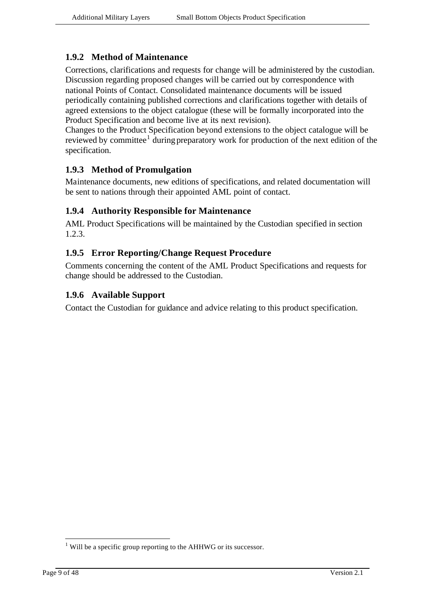### **1.9.2 Method of Maintenance**

Corrections, clarifications and requests for change will be administered by the custodian. Discussion regarding proposed changes will be carried out by correspondence with national Points of Contact. Consolidated maintenance documents will be issued periodically containing published corrections and clarifications together with details of agreed extensions to the object catalogue (these will be formally incorporated into the Product Specification and become live at its next revision).

Changes to the Product Specification beyond extensions to the object catalogue will be reviewed by committee<sup>1</sup> during preparatory work for production of the next edition of the specification.

### **1.9.3 Method of Promulgation**

Maintenance documents, new editions of specifications, and related documentation will be sent to nations through their appointed AML point of contact.

#### **1.9.4 Authority Responsible for Maintenance**

AML Product Specifications will be maintained by the Custodian specified in section 1.2.3.

#### **1.9.5 Error Reporting/Change Request Procedure**

Comments concerning the content of the AML Product Specifications and requests for change should be addressed to the Custodian.

#### **1.9.6 Available Support**

Contact the Custodian for guidance and advice relating to this product specification.

l

 $1$  Will be a specific group reporting to the AHHWG or its successor.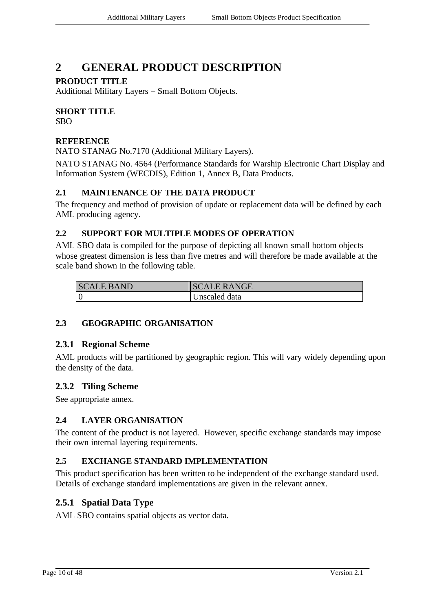# **2 GENERAL PRODUCT DESCRIPTION**

#### **PRODUCT TITLE**

Additional Military Layers – Small Bottom Objects.

### **SHORT TITLE**

SBO

#### **REFERENCE**

NATO STANAG No.7170 (Additional Military Layers).

NATO STANAG No. 4564 (Performance Standards for Warship Electronic Chart Display and Information System (WECDIS), Edition 1, Annex B, Data Products.

#### **2.1 MAINTENANCE OF THE DATA PRODUCT**

The frequency and method of provision of update or replacement data will be defined by each AML producing agency.

#### **2.2 SUPPORT FOR MULTIPLE MODES OF OPERATION**

AML SBO data is compiled for the purpose of depicting all known small bottom objects whose greatest dimension is less than five metres and will therefore be made available at the scale band shown in the following table.

| <b>SCALE BAND</b> | <b>SCALE RANGE</b> |
|-------------------|--------------------|
|                   | Unscaled data      |

### **2.3 GEOGRAPHIC ORGANISATION**

#### **2.3.1 Regional Scheme**

AML products will be partitioned by geographic region. This will vary widely depending upon the density of the data.

### **2.3.2 Tiling Scheme**

See appropriate annex.

#### **2.4 LAYER ORGANISATION**

The content of the product is not layered. However, specific exchange standards may impose their own internal layering requirements.

### **2.5 EXCHANGE STANDARD IMPLEMENTATION**

This product specification has been written to be independent of the exchange standard used. Details of exchange standard implementations are given in the relevant annex.

### **2.5.1 Spatial Data Type**

AML SBO contains spatial objects as vector data.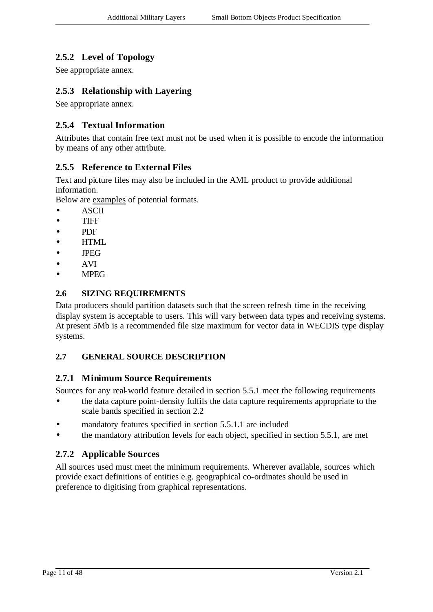### **2.5.2 Level of Topology**

See appropriate annex.

### **2.5.3 Relationship with Layering**

See appropriate annex.

#### **2.5.4 Textual Information**

Attributes that contain free text must not be used when it is possible to encode the information by means of any other attribute.

#### **2.5.5 Reference to External Files**

Text and picture files may also be included in the AML product to provide additional information.

Below are examples of potential formats.

- ASCII
- TIFF
- PDF
- **HTML**
- JPEG
- AVI
- MPEG

#### **2.6 SIZING REQUIREMENTS**

Data producers should partition datasets such that the screen refresh time in the receiving display system is acceptable to users. This will vary between data types and receiving systems. At present 5Mb is a recommended file size maximum for vector data in WECDIS type display systems.

#### **2.7 GENERAL SOURCE DESCRIPTION**

#### **2.7.1 Minimum Source Requirements**

Sources for any real-world feature detailed in section 5.5.1 meet the following requirements

- the data capture point-density fulfils the data capture requirements appropriate to the scale bands specified in section 2.2
- mandatory features specified in section 5.5.1.1 are included
- the mandatory attribution levels for each object, specified in section 5.5.1, are met

#### **2.7.2 Applicable Sources**

All sources used must meet the minimum requirements. Wherever available, sources which provide exact definitions of entities e.g. geographical co-ordinates should be used in preference to digitising from graphical representations.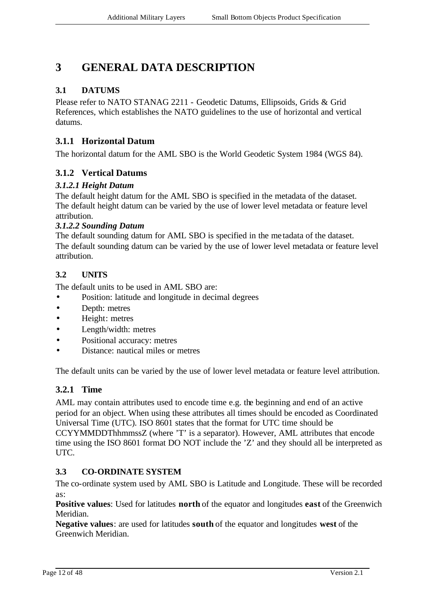# **3 GENERAL DATA DESCRIPTION**

### **3.1 DATUMS**

Please refer to NATO STANAG 2211 - Geodetic Datums, Ellipsoids, Grids & Grid References, which establishes the NATO guidelines to the use of horizontal and vertical datums.

#### **3.1.1 Horizontal Datum**

The horizontal datum for the AML SBO is the World Geodetic System 1984 (WGS 84).

### **3.1.2 Vertical Datums**

#### *3.1.2.1 Height Datum*

The default height datum for the AML SBO is specified in the metadata of the dataset. The default height datum can be varied by the use of lower level metadata or feature level attribution.

#### *3.1.2.2 Sounding Datum*

The default sounding datum for AML SBO is specified in the me tadata of the dataset. The default sounding datum can be varied by the use of lower level metadata or feature level attribution.

#### **3.2 UNITS**

The default units to be used in AML SBO are:

- Position: latitude and longitude in decimal degrees
- Depth: metres
- Height: metres
- Length/width: metres
- Positional accuracy: metres
- Distance: nautical miles or metres

The default units can be varied by the use of lower level metadata or feature level attribution.

#### **3.2.1 Time**

AML may contain attributes used to encode time e.g. the beginning and end of an active period for an object. When using these attributes all times should be encoded as Coordinated Universal Time (UTC). ISO 8601 states that the format for UTC time should be CCYYMMDDThhmmssZ (where 'T' is a separator). However, AML attributes that encode time using the ISO 8601 format DO NOT include the 'Z' and they should all be interpreted as UTC.

#### **3.3 CO-ORDINATE SYSTEM**

The co-ordinate system used by AML SBO is Latitude and Longitude. These will be recorded as:

**Positive values**: Used for latitudes **north** of the equator and longitudes **east** of the Greenwich Meridian.

**Negative values**: are used for latitudes **south** of the equator and longitudes **west** of the Greenwich Meridian.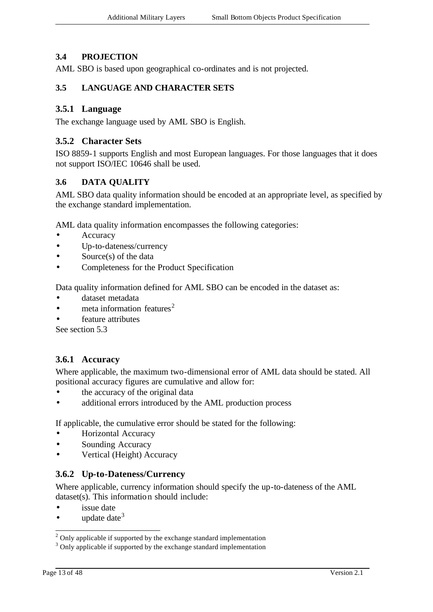#### **3.4 PROJECTION**

AML SBO is based upon geographical co-ordinates and is not projected.

#### **3.5 LANGUAGE AND CHARACTER SETS**

#### **3.5.1 Language**

The exchange language used by AML SBO is English.

#### **3.5.2 Character Sets**

ISO 8859-1 supports English and most European languages. For those languages that it does not support ISO/IEC 10646 shall be used.

#### **3.6 DATA QUALITY**

AML SBO data quality information should be encoded at an appropriate level, as specified by the exchange standard implementation.

AML data quality information encompasses the following categories:

- **Accuracy**
- Up-to-dateness/currency
- Source(s) of the data
- Completeness for the Product Specification

Data quality information defined for AML SBO can be encoded in the dataset as:

- dataset metadata
- meta information features<sup>2</sup>
- feature attributes

See section 5.3

### **3.6.1 Accuracy**

Where applicable, the maximum two-dimensional error of AML data should be stated. All positional accuracy figures are cumulative and allow for:

- the accuracy of the original data
- additional errors introduced by the AML production process

If applicable, the cumulative error should be stated for the following:

- Horizontal Accuracy
- Sounding Accuracy
- Vertical (Height) Accuracy

#### **3.6.2 Up-to-Dateness/Currency**

Where applicable, currency information should specify the up-to-dateness of the AML dataset(s). This information should include:

- issue date
- update date  $3$

l

 $2$  Only applicable if supported by the exchange standard implementation

<sup>&</sup>lt;sup>3</sup> Only applicable if supported by the exchange standard implementation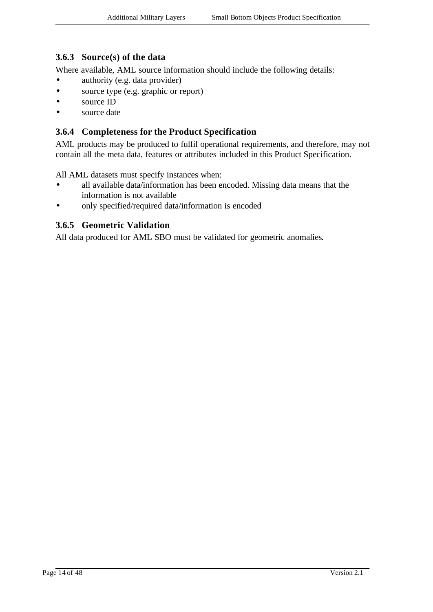#### **3.6.3 Source(s) of the data**

Where available, AML source information should include the following details:

- authority (e.g. data provider)
- source type (e.g. graphic or report)
- source ID
- source date

#### **3.6.4 Completeness for the Product Specification**

AML products may be produced to fulfil operational requirements, and therefore, may not contain all the meta data, features or attributes included in this Product Specification.

All AML datasets must specify instances when:

- all available data/information has been encoded. Missing data means that the information is not available
- only specified/required data/information is encoded

#### **3.6.5 Geometric Validation**

All data produced for AML SBO must be validated for geometric anomalies.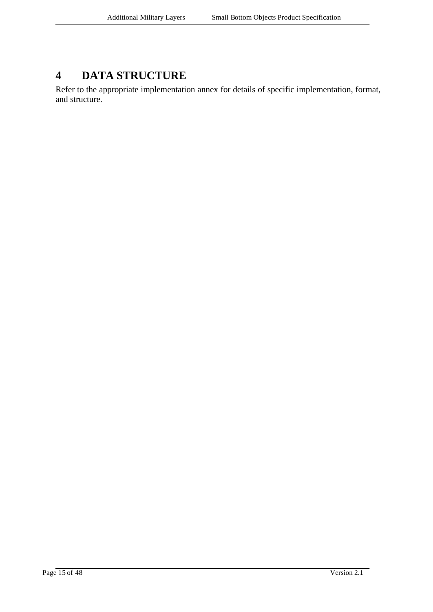# **4 DATA STRUCTURE**

Refer to the appropriate implementation annex for details of specific implementation, format, and structure.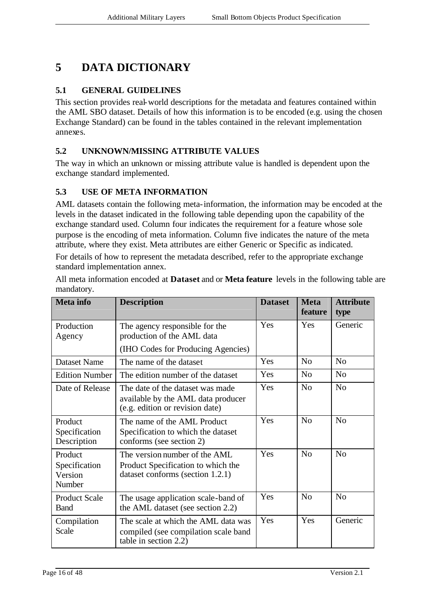# **5 DATA DICTIONARY**

#### **5.1 GENERAL GUIDELINES**

This section provides real-world descriptions for the metadata and features contained within the AML SBO dataset. Details of how this information is to be encoded (e.g. using the chosen Exchange Standard) can be found in the tables contained in the relevant implementation annexes.

#### **5.2 UNKNOWN/MISSING ATTRIBUTE VALUES**

The way in which an unknown or missing attribute value is handled is dependent upon the exchange standard implemented.

#### **5.3 USE OF META INFORMATION**

AML datasets contain the following meta-information, the information may be encoded at the levels in the dataset indicated in the following table depending upon the capability of the exchange standard used. Column four indicates the requirement for a feature whose sole purpose is the encoding of meta information. Column five indicates the nature of the meta attribute, where they exist. Meta attributes are either Generic or Specific as indicated.

For details of how to represent the metadata described, refer to the appropriate exchange standard implementation annex.

| <b>Meta</b> info                              | <b>Description</b>                                                                                        | <b>Dataset</b> | <b>Meta</b><br>feature | <b>Attribute</b><br>type |
|-----------------------------------------------|-----------------------------------------------------------------------------------------------------------|----------------|------------------------|--------------------------|
| Production<br>Agency                          | The agency responsible for the<br>production of the AML data                                              | Yes            | Yes                    | Generic                  |
|                                               | (IHO Codes for Producing Agencies)                                                                        |                |                        |                          |
| <b>Dataset Name</b>                           | The name of the dataset                                                                                   | Yes            | No                     | No                       |
| <b>Edition Number</b>                         | The edition number of the dataset                                                                         | Yes            | N <sub>o</sub>         | N <sub>o</sub>           |
| Date of Release                               | The date of the dataset was made<br>available by the AML data producer<br>(e.g. edition or revision date) | Yes            | N <sub>o</sub>         | N <sub>0</sub>           |
| Product<br>Specification<br>Description       | The name of the AML Product<br>Specification to which the dataset<br>conforms (see section 2)             | Yes            | No                     | No                       |
| Product<br>Specification<br>Version<br>Number | The version number of the AML<br>Product Specification to which the<br>dataset conforms (section 1.2.1)   | Yes            | N <sub>o</sub>         | N <sub>0</sub>           |
| <b>Product Scale</b><br><b>Band</b>           | The usage application scale-band of<br>the AML dataset (see section 2.2)                                  | Yes            | N <sub>o</sub>         | No                       |
| Compilation<br>Scale                          | The scale at which the AML data was<br>compiled (see compilation scale band<br>table in section 2.2)      | Yes            | Yes                    | Generic                  |

All meta information encoded at **Dataset** and or **Meta feature** levels in the following table are mandatory.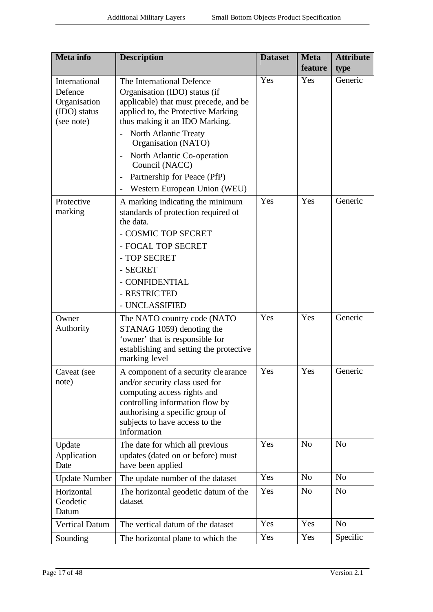| Meta info                                                              | <b>Description</b>                                                                                                                                                                                                                                                                                                                                                                               | <b>Dataset</b> | <b>Meta</b><br>feature | <b>Attribute</b><br>type |
|------------------------------------------------------------------------|--------------------------------------------------------------------------------------------------------------------------------------------------------------------------------------------------------------------------------------------------------------------------------------------------------------------------------------------------------------------------------------------------|----------------|------------------------|--------------------------|
| International<br>Defence<br>Organisation<br>(IDO) status<br>(see note) | The International Defence<br>Organisation (IDO) status (if<br>applicable) that must precede, and be<br>applied to, the Protective Marking<br>thus making it an IDO Marking.<br>North Atlantic Treaty<br>Organisation (NATO)<br>North Atlantic Co-operation<br>$\qquad \qquad \blacksquare$<br>Council (NACC)<br>Partnership for Peace (PfP)<br>$\qquad \qquad -$<br>Western European Union (WEU) | Yes            | Yes                    | Generic                  |
| Protective<br>marking                                                  | A marking indicating the minimum<br>standards of protection required of<br>the data.<br>- COSMIC TOP SECRET<br>- FOCAL TOP SECRET<br>- TOP SECRET<br>- SECRET<br>- CONFIDENTIAL<br>- RESTRICTED<br>- UNCLASSIFIED                                                                                                                                                                                | Yes            | Yes                    | Generic                  |
| Owner<br>Authority                                                     | The NATO country code (NATO<br>STANAG 1059) denoting the<br>'owner' that is responsible for<br>establishing and setting the protective<br>marking level                                                                                                                                                                                                                                          | Yes            | Yes                    | Generic                  |
| Caveat (see<br>note)                                                   | A component of a security clearance<br>and/or security class used for<br>computing access rights and<br>controlling information flow by<br>authorising a specific group of<br>subjects to have access to the<br>information                                                                                                                                                                      | Yes            | Yes                    | Generic                  |
| Update<br>Application<br>Date                                          | The date for which all previous<br>updates (dated on or before) must<br>have been applied                                                                                                                                                                                                                                                                                                        | Yes            | N <sub>o</sub>         | N <sub>0</sub>           |
| <b>Update Number</b>                                                   | The update number of the dataset                                                                                                                                                                                                                                                                                                                                                                 | Yes            | N <sub>o</sub>         | N <sub>o</sub>           |
| Horizontal<br>Geodetic<br>Datum                                        | The horizontal geodetic datum of the<br>dataset                                                                                                                                                                                                                                                                                                                                                  | Yes            | N <sub>o</sub>         | N <sub>o</sub>           |
| <b>Vertical Datum</b>                                                  | The vertical datum of the dataset                                                                                                                                                                                                                                                                                                                                                                | Yes            | Yes                    | N <sub>0</sub>           |
| Sounding                                                               | The horizontal plane to which the                                                                                                                                                                                                                                                                                                                                                                | Yes            | Yes                    | Specific                 |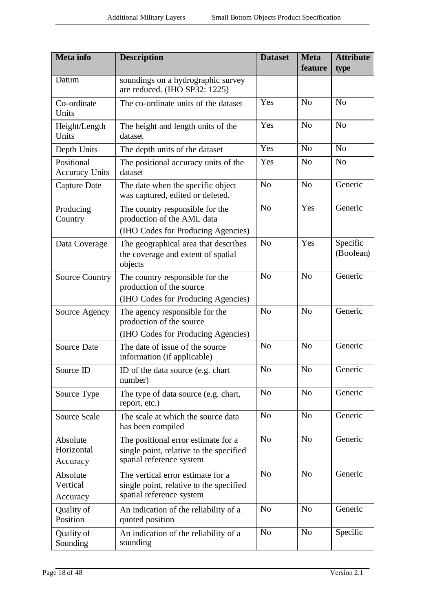| <b>Meta</b> info                    | <b>Description</b>                                                                                         | <b>Dataset</b> | <b>Meta</b><br>feature | <b>Attribute</b><br>type |
|-------------------------------------|------------------------------------------------------------------------------------------------------------|----------------|------------------------|--------------------------|
| Datum                               | soundings on a hydrographic survey<br>are reduced. (IHO SP32: 1225)                                        |                |                        |                          |
| Co-ordinate<br>Units                | The co-ordinate units of the dataset                                                                       | Yes            | N <sub>o</sub>         | N <sub>o</sub>           |
| Height/Length<br>Units              | The height and length units of the<br>dataset                                                              | Yes            | N <sub>o</sub>         | N <sub>o</sub>           |
| Depth Units                         | The depth units of the dataset                                                                             | Yes            | No                     | N <sub>0</sub>           |
| Positional<br><b>Accuracy Units</b> | The positional accuracy units of the<br>dataset                                                            | Yes            | N <sub>o</sub>         | N <sub>o</sub>           |
| <b>Capture Date</b>                 | The date when the specific object<br>was captured, edited or deleted.                                      | N <sub>o</sub> | N <sub>o</sub>         | Generic                  |
| Producing<br>Country                | The country responsible for the<br>production of the AML data<br>(IHO Codes for Producing Agencies)        | N <sub>o</sub> | Yes                    | Generic                  |
| Data Coverage                       | The geographical area that describes<br>the coverage and extent of spatial<br>objects                      | N <sub>o</sub> | Yes                    | Specific<br>(Boolean)    |
| <b>Source Country</b>               | The country responsible for the<br>production of the source<br>(IHO Codes for Producing Agencies)          | N <sub>o</sub> | N <sub>o</sub>         | Generic                  |
| Source Agency                       | The agency responsible for the<br>production of the source<br>(IHO Codes for Producing Agencies)           | N <sub>o</sub> | N <sub>o</sub>         | Generic                  |
| <b>Source Date</b>                  | The date of issue of the source<br>information (if applicable)                                             | N <sub>o</sub> | N <sub>o</sub>         | Generic                  |
| Source ID                           | ID of the data source (e.g. chart<br>number)                                                               | N <sub>o</sub> | $\rm No$               | Generic                  |
| Source Type                         | The type of data source (e.g. chart,<br>report, etc.)                                                      | N <sub>o</sub> | N <sub>o</sub>         | Generic                  |
| <b>Source Scale</b>                 | The scale at which the source data<br>has been compiled                                                    | N <sub>o</sub> | N <sub>o</sub>         | Generic                  |
| Absolute<br>Horizontal<br>Accuracy  | The positional error estimate for a<br>single point, relative to the specified<br>spatial reference system | No             | N <sub>o</sub>         | Generic                  |
| Absolute<br>Vertical<br>Accuracy    | The vertical error estimate for a<br>single point, relative to the specified<br>spatial reference system   | N <sub>o</sub> | N <sub>o</sub>         | Generic                  |
| Quality of<br>Position              | An indication of the reliability of a<br>quoted position                                                   | N <sub>o</sub> | N <sub>o</sub>         | Generic                  |
| Quality of<br>Sounding              | An indication of the reliability of a<br>sounding                                                          | No             | N <sub>o</sub>         | Specific                 |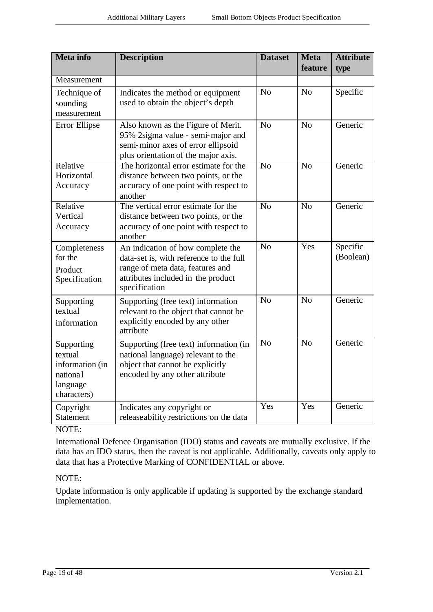| <b>Meta</b> info                                                                | <b>Description</b>                                                                                                                                                      | <b>Dataset</b> | <b>Meta</b><br>feature | <b>Attribute</b><br>type |
|---------------------------------------------------------------------------------|-------------------------------------------------------------------------------------------------------------------------------------------------------------------------|----------------|------------------------|--------------------------|
| Measurement                                                                     |                                                                                                                                                                         |                |                        |                          |
| Technique of<br>sounding<br>measurement                                         | Indicates the method or equipment<br>used to obtain the object's depth                                                                                                  | No             | No                     | Specific                 |
| Error Ellipse                                                                   | Also known as the Figure of Merit.<br>95% 2sigma value - semi-major and<br>semi-minor axes of error ellipsoid<br>plus orientation of the major axis.                    | N <sub>o</sub> | N <sub>o</sub>         | Generic                  |
| Relative<br>Horizontal<br>Accuracy                                              | The horizontal error estimate for the<br>distance between two points, or the<br>accuracy of one point with respect to<br>another                                        | N <sub>o</sub> | N <sub>o</sub>         | Generic                  |
| Relative<br>Vertical<br>Accuracy                                                | The vertical error estimate for the<br>distance between two points, or the<br>accuracy of one point with respect to<br>another                                          | No             | No                     | Generic                  |
| Completeness<br>for the<br>Product<br>Specification                             | An indication of how complete the<br>data-set is, with reference to the full<br>range of meta data, features and<br>attributes included in the product<br>specification | N <sub>o</sub> | Yes                    | Specific<br>(Boolean)    |
| Supporting<br>textual<br>information                                            | Supporting (free text) information<br>relevant to the object that cannot be<br>explicitly encoded by any other<br>attribute                                             | N <sub>o</sub> | N <sub>o</sub>         | Generic                  |
| Supporting<br>textual<br>information (in<br>national<br>language<br>characters) | Supporting (free text) information (in<br>national language) relevant to the<br>object that cannot be explicitly<br>encoded by any other attribute                      | No             | No                     | Generic                  |
| Copyright<br><b>Statement</b>                                                   | Indicates any copyright or<br>releaseability restrictions on the data                                                                                                   | Yes            | Yes                    | Generic                  |

NOTE:

International Defence Organisation (IDO) status and caveats are mutually exclusive. If the data has an IDO status, then the caveat is not applicable. Additionally, caveats only apply to data that has a Protective Marking of CONFIDENTIAL or above.

#### NOTE:

Update information is only applicable if updating is supported by the exchange standard implementation.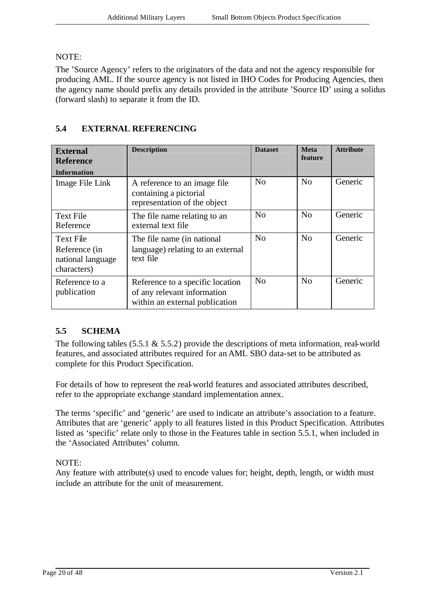#### NOTE:

The 'Source Agency' refers to the originators of the data and not the agency responsible for producing AML. If the source agency is not listed in IHO Codes for Producing Agencies, then the agency name should prefix any details provided in the attribute 'Source ID' using a solidus (forward slash) to separate it from the ID.

| <b>External</b><br><b>Reference</b><br><b>Information</b>             | <b>Description</b>                                                                                | <b>Dataset</b> | <b>Meta</b><br>feature | <b>Attribute</b> |
|-----------------------------------------------------------------------|---------------------------------------------------------------------------------------------------|----------------|------------------------|------------------|
| Image File Link                                                       | A reference to an image file.<br>containing a pictorial<br>representation of the object           | No             | No                     | Generic          |
| <b>Text File</b><br>Reference                                         | The file name relating to an<br>external text file                                                | No             | No                     | Generic          |
| <b>Text File</b><br>Reference (in<br>national language<br>characters) | The file name (in national<br>language) relating to an external<br>text file                      | No             | No                     | Generic          |
| Reference to a<br>publication                                         | Reference to a specific location<br>of any relevant information<br>within an external publication | N <sub>o</sub> | N <sub>o</sub>         | Generic          |

### **5.4 EXTERNAL REFERENCING**

### **5.5 SCHEMA**

The following tables  $(5.5.1 \& 5.5.2)$  provide the descriptions of meta information, real-world features, and associated attributes required for an AML SBO data-set to be attributed as complete for this Product Specification.

For details of how to represent the real-world features and associated attributes described, refer to the appropriate exchange standard implementation annex.

The terms 'specific' and 'generic' are used to indicate an attribute's association to a feature. Attributes that are 'generic' apply to all features listed in this Product Specification. Attributes listed as 'specific' relate only to those in the Features table in section 5.5.1, when included in the 'Associated Attributes' column.

#### NOTE:

Any feature with attribute(s) used to encode values for; height, depth, length, or width must include an attribute for the unit of measurement.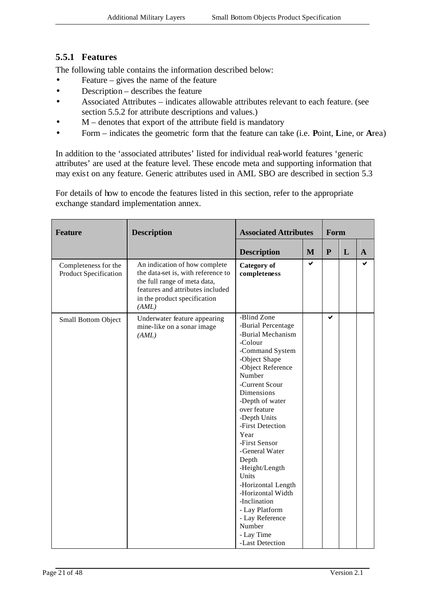### **5.5.1 Features**

The following table contains the information described below:

- Feature gives the name of the feature
- Description describes the feature
- Associated Attributes indicates allowable attributes relevant to each feature. (see section 5.5.2 for attribute descriptions and values.)
- $M$  denotes that export of the attribute field is mandatory
- Form indicates the geometric form that the feature can take (i.e. **P**oint, **L**ine, or **A**rea)

In addition to the 'associated attributes' listed for individual real-world features 'generic attributes' are used at the feature level. These encode meta and supporting information that may exist on any feature. Generic attributes used in AML SBO are described in section 5.3

For details of how to encode the features listed in this section, refer to the appropriate exchange standard implementation annex.

| <b>Feature</b>                                | <b>Description</b>                                                                                                                                                               | <b>Associated Attributes</b>                                                                                                                                                                                                                                                                                                                                                                                                                                          |   | Form      |   |              |
|-----------------------------------------------|----------------------------------------------------------------------------------------------------------------------------------------------------------------------------------|-----------------------------------------------------------------------------------------------------------------------------------------------------------------------------------------------------------------------------------------------------------------------------------------------------------------------------------------------------------------------------------------------------------------------------------------------------------------------|---|-----------|---|--------------|
|                                               |                                                                                                                                                                                  | <b>Description</b>                                                                                                                                                                                                                                                                                                                                                                                                                                                    | M | ${\bf P}$ | L | $\mathbf{A}$ |
| Completeness for the<br>Product Specification | An indication of how complete<br>the data-set is, with reference to<br>the full range of meta data,<br>features and attributes included<br>in the product specification<br>(AML) | <b>Category</b> of<br>completeness                                                                                                                                                                                                                                                                                                                                                                                                                                    | ✔ |           |   | ✔            |
| Small Bottom Object                           | Underwater feature appearing<br>mine-like on a sonar image<br>(AML)                                                                                                              | -Blind Zone<br>-Burial Percentage<br>-Burial Mechanism<br>-Colour<br>-Command System<br>-Object Shape<br>-Object Reference<br>Number<br>-Current Scour<br>Dimensions<br>-Depth of water<br>over feature<br>-Depth Units<br>-First Detection<br>Year<br>-First Sensor<br>-General Water<br>Depth<br>-Height/Length<br>Units<br>-Horizontal Length<br>-Horizontal Width<br>-Inclination<br>- Lay Platform<br>- Lay Reference<br>Number<br>- Lay Time<br>-Last Detection |   | ✔         |   |              |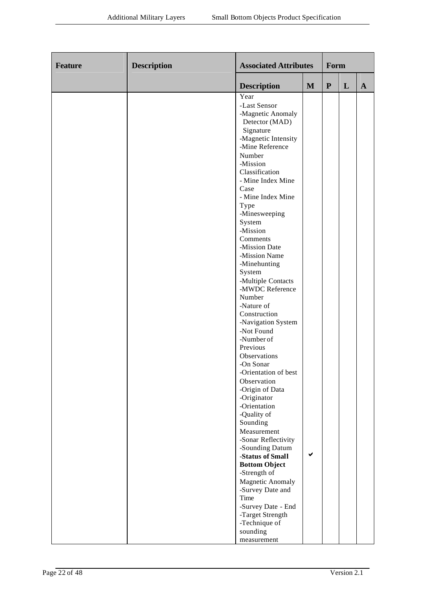| Feature | <b>Description</b> | <b>Associated Attributes</b>                                                                                                                                                                                                                                                                                                                                                                                                                                                                                                                                                                                                                       |              | Form      |   |              |
|---------|--------------------|----------------------------------------------------------------------------------------------------------------------------------------------------------------------------------------------------------------------------------------------------------------------------------------------------------------------------------------------------------------------------------------------------------------------------------------------------------------------------------------------------------------------------------------------------------------------------------------------------------------------------------------------------|--------------|-----------|---|--------------|
|         |                    | <b>Description</b>                                                                                                                                                                                                                                                                                                                                                                                                                                                                                                                                                                                                                                 | $\mathbf{M}$ | ${\bf P}$ | L | $\mathbf{A}$ |
|         |                    | Year<br>-Last Sensor<br>-Magnetic Anomaly<br>Detector (MAD)<br>Signature<br>-Magnetic Intensity<br>-Mine Reference<br>Number<br>-Mission<br>Classification<br>- Mine Index Mine<br>Case<br>- Mine Index Mine<br>Type<br>-Minesweeping<br>System<br>-Mission<br>Comments<br>-Mission Date<br>-Mission Name<br>-Minehunting<br>System<br>-Multiple Contacts<br>-MWDC Reference<br>Number<br>-Nature of<br>Construction<br>-Navigation System<br>-Not Found<br>-Number of<br>Previous<br>Observations<br>-On Sonar<br>-Orientation of best<br>Observation<br>-Origin of Data<br>-Originator<br>-Orientation<br>-Quality of<br>Sounding<br>Measurement |              |           |   |              |
|         |                    | -Sonar Reflectivity<br>-Sounding Datum<br>-Status of Small<br><b>Bottom Object</b>                                                                                                                                                                                                                                                                                                                                                                                                                                                                                                                                                                 | ✔            |           |   |              |
|         |                    | -Strength of<br><b>Magnetic Anomaly</b><br>-Survey Date and<br>Time<br>-Survey Date - End<br>-Target Strength<br>-Technique of<br>sounding<br>measurement                                                                                                                                                                                                                                                                                                                                                                                                                                                                                          |              |           |   |              |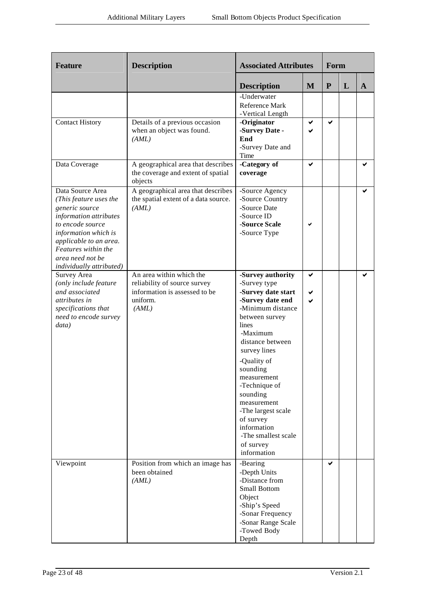| <b>Feature</b>                                                                                                                                                                                                                      | <b>Description</b>                                                                                             | <b>Associated Attributes</b>                                                                                                                                                                                                                                                                                                                                           |        | Form         |   |              |
|-------------------------------------------------------------------------------------------------------------------------------------------------------------------------------------------------------------------------------------|----------------------------------------------------------------------------------------------------------------|------------------------------------------------------------------------------------------------------------------------------------------------------------------------------------------------------------------------------------------------------------------------------------------------------------------------------------------------------------------------|--------|--------------|---|--------------|
|                                                                                                                                                                                                                                     |                                                                                                                | <b>Description</b>                                                                                                                                                                                                                                                                                                                                                     | M      | $\mathbf{P}$ | L | $\mathbf{A}$ |
|                                                                                                                                                                                                                                     |                                                                                                                | -Underwater<br>Reference Mark<br>-Vertical Length                                                                                                                                                                                                                                                                                                                      |        |              |   |              |
| <b>Contact History</b>                                                                                                                                                                                                              | Details of a previous occasion<br>when an object was found.<br>(AML)                                           | -Originator<br>-Survey Date -<br>End<br>-Survey Date and<br>Time                                                                                                                                                                                                                                                                                                       | ✔<br>✔ | ✔            |   |              |
| Data Coverage                                                                                                                                                                                                                       | A geographical area that describes<br>the coverage and extent of spatial<br>objects                            | -Category of<br>coverage                                                                                                                                                                                                                                                                                                                                               | ✔      |              |   |              |
| Data Source Area<br>(This feature uses the<br>generic source<br>information attributes<br>to encode source<br>information which is<br>applicable to an area.<br>Features within the<br>area need not be<br>individually attributed) | A geographical area that describes<br>the spatial extent of a data source.<br>(AML)                            | -Source Agency<br>-Source Country<br>-Source Date<br>-Source ID<br>-Source Scale<br>-Source Type                                                                                                                                                                                                                                                                       | ✓      |              |   |              |
| Survey Area<br>(only include feature<br>and associated<br>attributes in<br>specifications that<br>need to encode survey<br>data)                                                                                                    | An area within which the<br>reliability of source survey<br>information is assessed to be<br>uniform.<br>(AML) | -Survey authority<br>-Survey type<br>-Survey date start<br>-Survey date end<br>-Minimum distance<br>between survey<br>lines<br>-Maximum<br>distance between<br>survey lines<br>-Quality of<br>sounding<br>measurement<br>-Technique of<br>sounding<br>measurement<br>-The largest scale<br>of survey<br>information<br>-The smallest scale<br>of survey<br>information | ✔<br>✔ |              |   | ✔            |
| Viewpoint                                                                                                                                                                                                                           | Position from which an image has<br>been obtained<br>(AML)                                                     | -Bearing<br>-Depth Units<br>-Distance from<br><b>Small Bottom</b><br>Object<br>-Ship's Speed<br>-Sonar Frequency<br>-Sonar Range Scale<br>-Towed Body<br>Depth                                                                                                                                                                                                         |        | ✔            |   |              |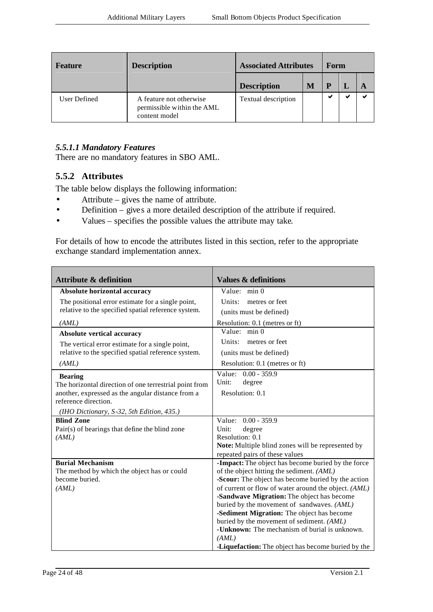| <b>Feature</b> | <b>Description</b>                                                     | <b>Associated Attributes</b> |   | Form |  |  |
|----------------|------------------------------------------------------------------------|------------------------------|---|------|--|--|
|                |                                                                        | <b>Description</b>           | M | P    |  |  |
| User Defined   | A feature not otherwise<br>permissible within the AML<br>content model | Textual description          |   | v    |  |  |

#### *5.5.1.1 Mandatory Features*

There are no mandatory features in SBO AML.

### **5.5.2 Attributes**

The table below displays the following information:

- Attribute gives the name of attribute.
- Definition gives a more detailed description of the attribute if required.
- Values specifies the possible values the attribute may take.

For details of how to encode the attributes listed in this section, refer to the appropriate exchange standard implementation annex.

| <b>Attribute &amp; definition</b>                      | <b>Values &amp; definitions</b>                                                     |
|--------------------------------------------------------|-------------------------------------------------------------------------------------|
| Absolute horizontal accuracy                           | Value: min 0                                                                        |
| The positional error estimate for a single point,      | Units:<br>metres or feet                                                            |
| relative to the specified spatial reference system.    | (units must be defined)                                                             |
| (AML)                                                  | Resolution: 0.1 (metres or ft)                                                      |
| Absolute vertical accuracy                             | Value: min 0                                                                        |
| The vertical error estimate for a single point,        | Units:<br>metres or feet                                                            |
| relative to the specified spatial reference system.    | (units must be defined)                                                             |
| (AML)                                                  | Resolution: 0.1 (metres or ft)                                                      |
| <b>Bearing</b>                                         | Value: 0.00 - 359.9                                                                 |
| The horizontal direction of one terrestrial point from | degree<br>Unit:                                                                     |
| another, expressed as the angular distance from a      | Resolution: 0.1                                                                     |
| reference direction.                                   |                                                                                     |
| (IHO Dictionary, S-32, 5th Edition, 435.)              |                                                                                     |
| <b>Blind Zone</b>                                      | Value: 0.00 - 359.9                                                                 |
| Pair(s) of bearings that define the blind zone         | Unit:<br>degree                                                                     |
| (AML)                                                  | Resolution: 0.1                                                                     |
|                                                        | Note: Multiple blind zones will be represented by<br>repeated pairs of these values |
| <b>Burial Mechanism</b>                                | -Impact: The object has become buried by the force                                  |
| The method by which the object has or could            | of the object hitting the sediment. (AML)                                           |
| become buried.                                         | -Scour: The object has become buried by the action                                  |
| (AML)                                                  | of current or flow of water around the object. (AML)                                |
|                                                        | -Sandwave Migration: The object has become                                          |
|                                                        | buried by the movement of sandwaves. (AML)                                          |
|                                                        | -Sediment Migration: The object has become                                          |
|                                                        | buried by the movement of sediment. (AML)                                           |
|                                                        | - <b>Unknown:</b> The mechanism of burial is unknown.                               |
|                                                        | (AML)                                                                               |
|                                                        | <b>-Liquefaction:</b> The object has become buried by the                           |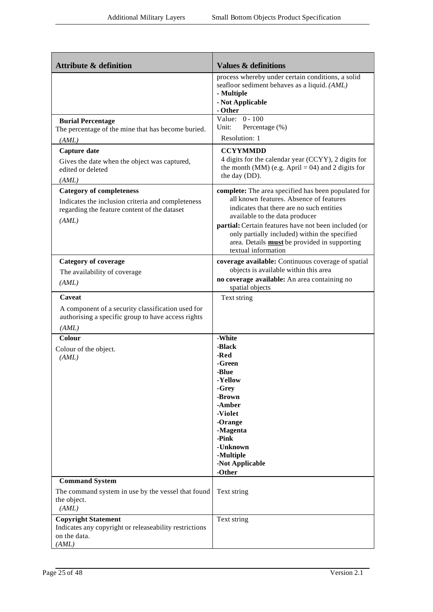| <b>Attribute &amp; definition</b>                                                                                                             | <b>Values &amp; definitions</b>                                                                                                                                                                                                                                                                                                                                      |
|-----------------------------------------------------------------------------------------------------------------------------------------------|----------------------------------------------------------------------------------------------------------------------------------------------------------------------------------------------------------------------------------------------------------------------------------------------------------------------------------------------------------------------|
|                                                                                                                                               | process whereby under certain conditions, a solid<br>seafloor sediment behaves as a liquid. (AML)<br>- Multiple<br>- Not Applicable<br>- Other                                                                                                                                                                                                                       |
| <b>Burial Percentage</b><br>The percentage of the mine that has become buried.<br>(AML)                                                       | Value: $0 - 100$<br>Percentage (%)<br>Unit:<br>Resolution: 1                                                                                                                                                                                                                                                                                                         |
| Capture date<br>Gives the date when the object was captured,<br>edited or deleted<br>(AML)                                                    | <b>CCYYMMDD</b><br>4 digits for the calendar year (CCYY), 2 digits for<br>the month (MM) (e.g. April = 04) and 2 digits for<br>the day (DD).                                                                                                                                                                                                                         |
| <b>Category of completeness</b><br>Indicates the inclusion criteria and completeness<br>regarding the feature content of the dataset<br>(AML) | complete: The area specified has been populated for<br>all known features. Absence of features<br>indicates that there are no such entities<br>available to the data producer<br>partial: Certain features have not been included (or<br>only partially included) within the specified<br>area. Details <b>must</b> be provided in supporting<br>textual information |
| <b>Category of coverage</b><br>The availability of coverage<br>(AML)                                                                          | coverage available: Continuous coverage of spatial<br>objects is available within this area<br>no coverage available: An area containing no<br>spatial objects                                                                                                                                                                                                       |
| Caveat<br>A component of a security classification used for<br>authorising a specific group to have access rights<br>(AML)                    | Text string                                                                                                                                                                                                                                                                                                                                                          |
| Colour<br>Colour of the object.<br>(AML)                                                                                                      | -White<br>-Black<br>-Red<br>-Green<br>-Blue<br>- Yellow<br>-Grey<br>-Brown<br>-Amber<br>-Violet<br>-Orange<br>-Magenta<br>-Pink<br>-Unknown<br>-Multiple<br>-Not Applicable<br>-Other                                                                                                                                                                                |
| <b>Command System</b><br>The command system in use by the vessel that found<br>the object.<br>(AML)                                           | Text string                                                                                                                                                                                                                                                                                                                                                          |
| <b>Copyright Statement</b><br>Indicates any copyright or releaseability restrictions<br>on the data.<br>(AML)                                 | Text string                                                                                                                                                                                                                                                                                                                                                          |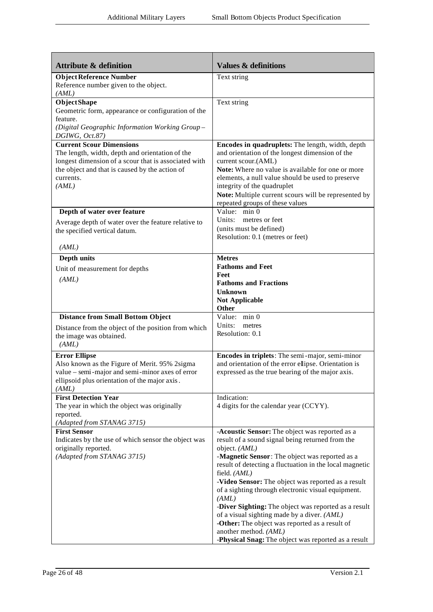| <b>Attribute &amp; definition</b>                                                                                                                                                                                  | <b>Values &amp; definitions</b>                                                                                                                                                                                                                                                                                                                                                                                                                                                                                                                                                                                |
|--------------------------------------------------------------------------------------------------------------------------------------------------------------------------------------------------------------------|----------------------------------------------------------------------------------------------------------------------------------------------------------------------------------------------------------------------------------------------------------------------------------------------------------------------------------------------------------------------------------------------------------------------------------------------------------------------------------------------------------------------------------------------------------------------------------------------------------------|
| <b>Object Reference Number</b><br>Reference number given to the object.<br>(AML)                                                                                                                                   | Text string                                                                                                                                                                                                                                                                                                                                                                                                                                                                                                                                                                                                    |
| <b>ObjectShape</b><br>Geometric form, appearance or configuration of the<br>feature.<br>(Digital Geographic Information Working Group-<br>DGIWG, Oct.87)                                                           | Text string                                                                                                                                                                                                                                                                                                                                                                                                                                                                                                                                                                                                    |
| <b>Current Scour Dimensions</b><br>The length, width, depth and orientation of the<br>longest dimension of a scour that is associated with<br>the object and that is caused by the action of<br>currents.<br>(AML) | Encodes in quadruplets: The length, width, depth<br>and orientation of the longest dimension of the<br>current scour.(AML)<br>Note: Where no value is available for one or more<br>elements, a null value should be used to preserve<br>integrity of the quadruplet<br>Note: Multiple current scours will be represented by<br>repeated groups of these values                                                                                                                                                                                                                                                 |
| Depth of water over feature<br>Average depth of water over the feature relative to<br>the specified vertical datum.                                                                                                | Value: min 0<br>Units: metres or feet<br>(units must be defined)<br>Resolution: 0.1 (metres or feet)                                                                                                                                                                                                                                                                                                                                                                                                                                                                                                           |
| (AML)<br>Depth units<br>Unit of measurement for depths<br>(AML)                                                                                                                                                    | <b>Metres</b><br><b>Fathoms and Feet</b><br>Feet<br><b>Fathoms and Fractions</b><br>Unknown<br>Not Applicable                                                                                                                                                                                                                                                                                                                                                                                                                                                                                                  |
| <b>Distance from Small Bottom Object</b><br>Distance from the object of the position from which<br>the image was obtained.<br>(AML)                                                                                | Other<br>Value: min 0<br>Units: metres<br>Resolution: 0.1                                                                                                                                                                                                                                                                                                                                                                                                                                                                                                                                                      |
| <b>Error Ellipse</b><br>Also known as the Figure of Merit. 95% 2sigma<br>value – semi-major and semi-minor axes of error<br>ellipsoid plus orientation of the major axis.<br>(AML)                                 | Encodes in triplets: The semi-major, semi-minor<br>and orientation of the error ellipse. Orientation is<br>expressed as the true bearing of the major axis.                                                                                                                                                                                                                                                                                                                                                                                                                                                    |
| <b>First Detection Year</b><br>The year in which the object was originally<br>reported.<br>(Adapted from STANAG 3715)                                                                                              | Indication:<br>4 digits for the calendar year (CCYY).                                                                                                                                                                                                                                                                                                                                                                                                                                                                                                                                                          |
| <b>First Sensor</b><br>Indicates by the use of which sensor the object was<br>originally reported.<br>(Adapted from STANAG 3715)                                                                                   | -Acoustic Sensor: The object was reported as a<br>result of a sound signal being returned from the<br>object. (AML)<br>-Magnetic Sensor: The object was reported as a<br>result of detecting a fluctuation in the local magnetic<br>field. (AML)<br>-Video Sensor: The object was reported as a result<br>of a sighting through electronic visual equipment.<br>(AML)<br>-Diver Sighting: The object was reported as a result<br>of a visual sighting made by a diver. (AML)<br>-Other: The object was reported as a result of<br>another method. (AML)<br>-Physical Snag: The object was reported as a result |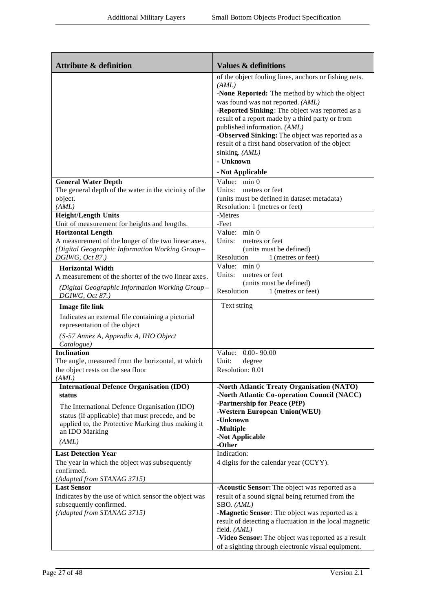| <b>Attribute &amp; definition</b>                                                 | <b>Values &amp; definitions</b>                                                                                                                                                                                                                                                                                                    |
|-----------------------------------------------------------------------------------|------------------------------------------------------------------------------------------------------------------------------------------------------------------------------------------------------------------------------------------------------------------------------------------------------------------------------------|
|                                                                                   | of the object fouling lines, anchors or fishing nets.<br>(AML)<br>-None Reported: The method by which the object                                                                                                                                                                                                                   |
|                                                                                   | was found was not reported. (AML)<br>-Reported Sinking: The object was reported as a<br>result of a report made by a third party or from<br>published information. (AML)<br>-Observed Sinking: The object was reported as a<br>result of a first hand observation of the object<br>sinking. (AML)<br>- Unknown<br>- Not Applicable |
| <b>General Water Depth</b>                                                        | Value: min 0                                                                                                                                                                                                                                                                                                                       |
| The general depth of the water in the vicinity of the                             | Units: metres or feet                                                                                                                                                                                                                                                                                                              |
| object.<br>(AML)                                                                  | (units must be defined in dataset metadata)<br>Resolution: 1 (metres or feet)                                                                                                                                                                                                                                                      |
| <b>Height/Length Units</b>                                                        | -Metres                                                                                                                                                                                                                                                                                                                            |
| Unit of measurement for heights and lengths.                                      | -Feet                                                                                                                                                                                                                                                                                                                              |
| <b>Horizontal Length</b><br>A measurement of the longer of the two linear axes.   | Value: min 0<br>Units:<br>metres or feet                                                                                                                                                                                                                                                                                           |
| (Digital Geographic Information Working Group-                                    | (units must be defined)                                                                                                                                                                                                                                                                                                            |
| DGIWG, Oct 87.)                                                                   | Resolution<br>1 (metres or feet)                                                                                                                                                                                                                                                                                                   |
| <b>Horizontal Width</b>                                                           | Value: min 0                                                                                                                                                                                                                                                                                                                       |
| A measurement of the shorter of the two linear axes.                              | Units:<br>metres or feet<br>(units must be defined)                                                                                                                                                                                                                                                                                |
| (Digital Geographic Information Working Group-<br>DGIWG, Oct 87.)                 | Resolution<br>1 (metres or feet)                                                                                                                                                                                                                                                                                                   |
| <b>Image file link</b>                                                            | Text string                                                                                                                                                                                                                                                                                                                        |
| Indicates an external file containing a pictorial<br>representation of the object |                                                                                                                                                                                                                                                                                                                                    |
| (S-57 Annex A, Appendix A, IHO Object<br>Catalogue)                               |                                                                                                                                                                                                                                                                                                                                    |
| <b>Inclination</b>                                                                | Value: 0.00-90.00                                                                                                                                                                                                                                                                                                                  |
| The angle, measured from the horizontal, at which                                 | Unit:<br>degree                                                                                                                                                                                                                                                                                                                    |
| the object rests on the sea floor                                                 | Resolution: 0.01                                                                                                                                                                                                                                                                                                                   |
| (AML)<br><b>International Defence Organisation (IDO)</b>                          | -North Atlantic Treaty Organisation (NATO)                                                                                                                                                                                                                                                                                         |
| status                                                                            | -North Atlantic Co-operation Council (NACC)                                                                                                                                                                                                                                                                                        |
| The International Defence Organisation (IDO)                                      | -Partnership for Peace (PfP)                                                                                                                                                                                                                                                                                                       |
| status (if applicable) that must precede, and be                                  | -Western European Union(WEU)<br>-Unknown                                                                                                                                                                                                                                                                                           |
| applied to, the Protective Marking thus making it                                 | -Multiple                                                                                                                                                                                                                                                                                                                          |
| an IDO Marking                                                                    | -Not Applicable                                                                                                                                                                                                                                                                                                                    |
| (AML)                                                                             | -Other                                                                                                                                                                                                                                                                                                                             |
| <b>Last Detection Year</b>                                                        | Indication:                                                                                                                                                                                                                                                                                                                        |
| The year in which the object was subsequently<br>confirmed.                       | 4 digits for the calendar year (CCYY).                                                                                                                                                                                                                                                                                             |
| (Adapted from STANAG 3715)                                                        |                                                                                                                                                                                                                                                                                                                                    |
| <b>Last Sensor</b>                                                                | -Acoustic Sensor: The object was reported as a                                                                                                                                                                                                                                                                                     |
| Indicates by the use of which sensor the object was<br>subsequently confirmed.    | result of a sound signal being returned from the<br>SBO. (AML)                                                                                                                                                                                                                                                                     |
| (Adapted from STANAG 3715)                                                        | -Magnetic Sensor: The object was reported as a                                                                                                                                                                                                                                                                                     |
|                                                                                   | result of detecting a fluctuation in the local magnetic                                                                                                                                                                                                                                                                            |
|                                                                                   | field. (AML)                                                                                                                                                                                                                                                                                                                       |
|                                                                                   | -Video Sensor: The object was reported as a result<br>of a sighting through electronic visual equipment.                                                                                                                                                                                                                           |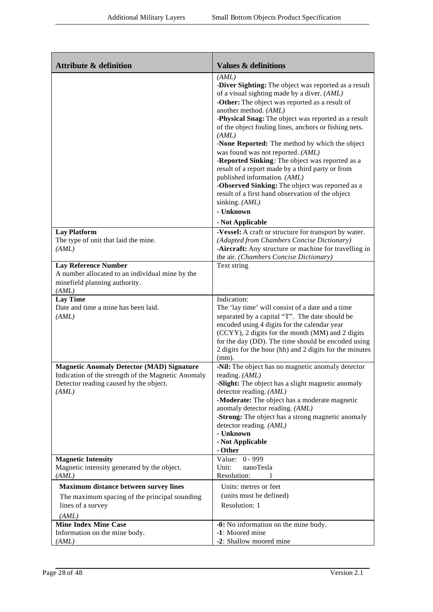| <b>Attribute &amp; definition</b>                                                                                                                         | <b>Values &amp; definitions</b>                                                                                                                                                                                                                                                                                                                                                                                                                                                                                                                                                                                                                                                                          |
|-----------------------------------------------------------------------------------------------------------------------------------------------------------|----------------------------------------------------------------------------------------------------------------------------------------------------------------------------------------------------------------------------------------------------------------------------------------------------------------------------------------------------------------------------------------------------------------------------------------------------------------------------------------------------------------------------------------------------------------------------------------------------------------------------------------------------------------------------------------------------------|
|                                                                                                                                                           | (AML)<br>-Diver Sighting: The object was reported as a result<br>of a visual sighting made by a diver. (AML)<br>-Other: The object was reported as a result of<br>another method. (AML)<br>-Physical Snag: The object was reported as a result<br>of the object fouling lines, anchors or fishing nets.<br>(AML)<br>-None Reported: The method by which the object<br>was found was not reported. (AML)<br>-Reported Sinking: The object was reported as a<br>result of a report made by a third party or from<br>published information. (AML)<br>-Observed Sinking: The object was reported as a<br>result of a first hand observation of the object<br>sinking. (AML)<br>- Unknown<br>- Not Applicable |
| <b>Lay Platform</b><br>The type of unit that laid the mine.<br>(AML)                                                                                      | -Vessel: A craft or structure for transport by water.<br>(Adapted from Chambers Concise Dictionary)<br>-Aircraft: Any structure or machine for travelling in<br>the air. (Chambers Concise Dictionary)                                                                                                                                                                                                                                                                                                                                                                                                                                                                                                   |
| <b>Lay Reference Number</b><br>A number allocated to an individual mine by the<br>minefield planning authority.<br>(AML)                                  | Text string                                                                                                                                                                                                                                                                                                                                                                                                                                                                                                                                                                                                                                                                                              |
| <b>Lay Time</b><br>Date and time a mine has been laid.<br>(AML)                                                                                           | Indication:<br>The 'lay time' will consist of a date and a time<br>separated by a capital "T". The date should be<br>encoded using 4 digits for the calendar year<br>(CCYY), 2 digits for the month (MM) and 2 digits<br>for the day (DD). The time should be encoded using<br>2 digits for the hour (hh) and 2 digits for the minutes<br>$(mm)$ .                                                                                                                                                                                                                                                                                                                                                       |
| <b>Magnetic Anomaly Detector (MAD) Signature</b><br>Indication of the strength of the Magnetic Anomaly<br>Detector reading caused by the object.<br>(AML) | -Nil: The object has no magnetic anomaly detector<br>reading. (AML)<br>-Slight: The object has a slight magnetic anomaly<br>detector reading. (AML)<br>-Moderate: The object has a moderate magnetic<br>anomaly detector reading. (AML)<br>-Strong: The object has a strong magnetic anomaly<br>detector reading. (AML)<br>- Unknown<br>- Not Applicable<br>- Other                                                                                                                                                                                                                                                                                                                                      |
| <b>Magnetic Intensity</b><br>Magnetic intensity generated by the object.<br>(AML)                                                                         | Value: 0 - 999<br>Unit:<br>nanoTesla<br>Resolution:                                                                                                                                                                                                                                                                                                                                                                                                                                                                                                                                                                                                                                                      |
| Maximum distance between survey lines<br>The maximum spacing of the principal sounding                                                                    | Units: metres or feet<br>(units must be defined)                                                                                                                                                                                                                                                                                                                                                                                                                                                                                                                                                                                                                                                         |
| lines of a survey<br>(AML)<br><b>Mine Index Mine Case</b>                                                                                                 | Resolution: 1<br>-0: No information on the mine body.                                                                                                                                                                                                                                                                                                                                                                                                                                                                                                                                                                                                                                                    |
| Information on the mine body.<br>(AML)                                                                                                                    | -1: Moored mine<br>-2: Shallow moored mine                                                                                                                                                                                                                                                                                                                                                                                                                                                                                                                                                                                                                                                               |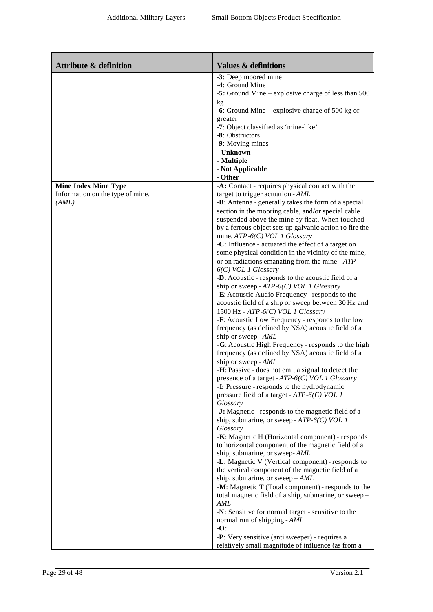| -3: Deep moored mine<br>-4: Ground Mine<br>kg<br>-6: Ground Mine – explosive charge of 500 kg or<br>greater<br>-7: Object classified as 'mine-like'<br>-8: Obstructors<br>-9: Moving mines<br>- Unknown<br>- Multiple<br>- Not Applicable<br>- Other<br><b>Mine Index Mine Type</b><br>-A: Contact - requires physical contact with the<br>Information on the type of mine.<br>target to trigger actuation - AML<br>(AML)<br>-B: Antenna - generally takes the form of a special<br>section in the mooring cable, and/or special cable<br>suspended above the mine by float. When touched<br>mine. $ATP-6(C)$ VOL 1 Glossary<br>-C: Influence - actuated the effect of a target on<br>some physical condition in the vicinity of the mine,<br>or on radiations emanating from the mine - ATP-<br>$6(C)$ VOL 1 Glossary<br>-D: Acoustic - responds to the acoustic field of a<br>ship or sweep - $ATP-6(C)$ VOL 1 Glossary<br>-E: Acoustic Audio Frequency - responds to the<br>acoustic field of a ship or sweep between 30 Hz and<br>1500 Hz - $ATP-6(C)$ VOL 1 Glossary<br>-F: Acoustic Low Frequency - responds to the low<br>frequency (as defined by NSA) acoustic field of a<br>ship or sweep - AML<br>frequency (as defined by NSA) acoustic field of a<br>ship or sweep - AML<br>-H: Passive - does not emit a signal to detect the<br>presence of a target - ATP-6(C) VOL 1 Glossary<br>-I: Pressure - responds to the hydrodynamic<br>pressure field of a target - $ATP-6(C)$ VOL 1<br>Glossary<br>-J: Magnetic - responds to the magnetic field of a<br>ship, submarine, or sweep - $ATP-6(C)$ VOL 1<br>Glossary<br>-K: Magnetic H (Horizontal component) - responds<br>to horizontal component of the magnetic field of a | <b>Attribute &amp; definition</b> | <b>Values &amp; definitions</b>                                                                                                                                                                      |
|---------------------------------------------------------------------------------------------------------------------------------------------------------------------------------------------------------------------------------------------------------------------------------------------------------------------------------------------------------------------------------------------------------------------------------------------------------------------------------------------------------------------------------------------------------------------------------------------------------------------------------------------------------------------------------------------------------------------------------------------------------------------------------------------------------------------------------------------------------------------------------------------------------------------------------------------------------------------------------------------------------------------------------------------------------------------------------------------------------------------------------------------------------------------------------------------------------------------------------------------------------------------------------------------------------------------------------------------------------------------------------------------------------------------------------------------------------------------------------------------------------------------------------------------------------------------------------------------------------------------------------------------------------------------------------------------------------------------------------------|-----------------------------------|------------------------------------------------------------------------------------------------------------------------------------------------------------------------------------------------------|
|                                                                                                                                                                                                                                                                                                                                                                                                                                                                                                                                                                                                                                                                                                                                                                                                                                                                                                                                                                                                                                                                                                                                                                                                                                                                                                                                                                                                                                                                                                                                                                                                                                                                                                                                       |                                   | -5: Ground Mine – explosive charge of less than 500                                                                                                                                                  |
|                                                                                                                                                                                                                                                                                                                                                                                                                                                                                                                                                                                                                                                                                                                                                                                                                                                                                                                                                                                                                                                                                                                                                                                                                                                                                                                                                                                                                                                                                                                                                                                                                                                                                                                                       |                                   |                                                                                                                                                                                                      |
| -L: Magnetic V (Vertical component) - responds to<br>the vertical component of the magnetic field of a<br>ship, submarine, or sweep $-AML$<br>total magnetic field of a ship, submarine, or sweep-<br>AML<br>-N: Sensitive for normal target - sensitive to the<br>normal run of shipping - AML<br>$-O$<br>-P: Very sensitive (anti sweeper) - requires a<br>relatively small magnitude of influence (as from a                                                                                                                                                                                                                                                                                                                                                                                                                                                                                                                                                                                                                                                                                                                                                                                                                                                                                                                                                                                                                                                                                                                                                                                                                                                                                                                       |                                   | by a ferrous object sets up galvanic action to fire the<br>-G: Acoustic High Frequency - responds to the high<br>ship, submarine, or sweep-AML<br>-M: Magnetic T (Total component) - responds to the |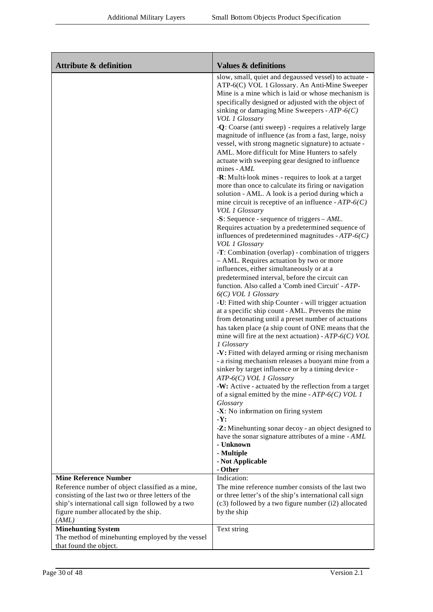| <b>Attribute &amp; definition</b>                                                                                                                                                                           | <b>Values &amp; definitions</b>                                                                                                                                                                                                                                                                                                                                                                                                                                                                                                                                                                                                                                                                                                                                                                                                                                                                                                                                                                                                                                                                                                                                                                                                                                                                                                                                                                                                                                                                                                                                                                                                                                                                                                                                                                                                                                                                                                                                                                                                                                                                                                                                |
|-------------------------------------------------------------------------------------------------------------------------------------------------------------------------------------------------------------|----------------------------------------------------------------------------------------------------------------------------------------------------------------------------------------------------------------------------------------------------------------------------------------------------------------------------------------------------------------------------------------------------------------------------------------------------------------------------------------------------------------------------------------------------------------------------------------------------------------------------------------------------------------------------------------------------------------------------------------------------------------------------------------------------------------------------------------------------------------------------------------------------------------------------------------------------------------------------------------------------------------------------------------------------------------------------------------------------------------------------------------------------------------------------------------------------------------------------------------------------------------------------------------------------------------------------------------------------------------------------------------------------------------------------------------------------------------------------------------------------------------------------------------------------------------------------------------------------------------------------------------------------------------------------------------------------------------------------------------------------------------------------------------------------------------------------------------------------------------------------------------------------------------------------------------------------------------------------------------------------------------------------------------------------------------------------------------------------------------------------------------------------------------|
|                                                                                                                                                                                                             | slow, small, quiet and degaussed vessel) to actuate -<br>ATP-6(C) VOL 1 Glossary. An Anti-Mine Sweeper<br>Mine is a mine which is laid or whose mechanism is<br>specifically designed or adjusted with the object of<br>sinking or damaging Mine Sweepers - $ATP-6(C)$<br><b>VOL 1 Glossary</b><br>-Q: Coarse (anti sweep) - requires a relatively large<br>magnitude of influence (as from a fast, large, noisy<br>vessel, with strong magnetic signature) to actuate -<br>AML. More difficult for Mine Hunters to safely<br>actuate with sweeping gear designed to influence<br>mines - AML<br>-R: Multi-look mines - requires to look at a target<br>more than once to calculate its firing or navigation<br>solution - AML. A look is a period during which a<br>mine circuit is receptive of an influence $-ATP-6(C)$<br>VOL 1 Glossary<br>-S: Sequence - sequence of triggers $-AML$ .<br>Requires actuation by a predetermined sequence of<br>influences of predetermined magnitudes - $ATP-6(C)$<br><b>VOL 1 Glossary</b><br>-T: Combination (overlap) - combination of triggers<br>- AML. Requires actuation by two or more<br>influences, either simultaneously or at a<br>predetermined interval, before the circuit can<br>function. Also called a 'Comb ined Circuit' - ATP-<br>$6(C)$ VOL 1 Glossary<br>-U: Fitted with ship Counter - will trigger actuation<br>at a specific ship count - AML. Prevents the mine<br>from detonating until a preset number of actuations<br>has taken place (a ship count of ONE means that the<br>mine will fire at the next actuation) - $ATP-6(C)$ VOL<br>1 Glossary<br>-V: Fitted with delayed arming or rising mechanism<br>- a rising mechanism releases a buoyant mine from a<br>sinker by target influence or by a timing device -<br>ATP-6(C) VOL 1 Glossary<br>-W: Active - actuated by the reflection from a target<br>of a signal emitted by the mine - $ATP-6(C)$ VOL 1<br>Glossary<br>$-X:$ No information on firing system<br>$-Y:$<br>-Z: Minehunting sonar decoy - an object designed to<br>have the sonar signature attributes of a mine - AML<br>- Unknown<br>- Multiple<br>- Not Applicable |
| <b>Mine Reference Number</b>                                                                                                                                                                                | - Other<br>Indication:                                                                                                                                                                                                                                                                                                                                                                                                                                                                                                                                                                                                                                                                                                                                                                                                                                                                                                                                                                                                                                                                                                                                                                                                                                                                                                                                                                                                                                                                                                                                                                                                                                                                                                                                                                                                                                                                                                                                                                                                                                                                                                                                         |
| Reference number of object classified as a mine,<br>consisting of the last two or three letters of the<br>ship's international call sign followed by a two<br>figure number allocated by the ship.<br>(AML) | The mine reference number consists of the last two<br>or three letter's of the ship's international call sign<br>(c3) followed by a two figure number (i2) allocated<br>by the ship                                                                                                                                                                                                                                                                                                                                                                                                                                                                                                                                                                                                                                                                                                                                                                                                                                                                                                                                                                                                                                                                                                                                                                                                                                                                                                                                                                                                                                                                                                                                                                                                                                                                                                                                                                                                                                                                                                                                                                            |
| <b>Minehunting System</b><br>The method of minehunting employed by the vessel<br>that found the object.                                                                                                     | Text string                                                                                                                                                                                                                                                                                                                                                                                                                                                                                                                                                                                                                                                                                                                                                                                                                                                                                                                                                                                                                                                                                                                                                                                                                                                                                                                                                                                                                                                                                                                                                                                                                                                                                                                                                                                                                                                                                                                                                                                                                                                                                                                                                    |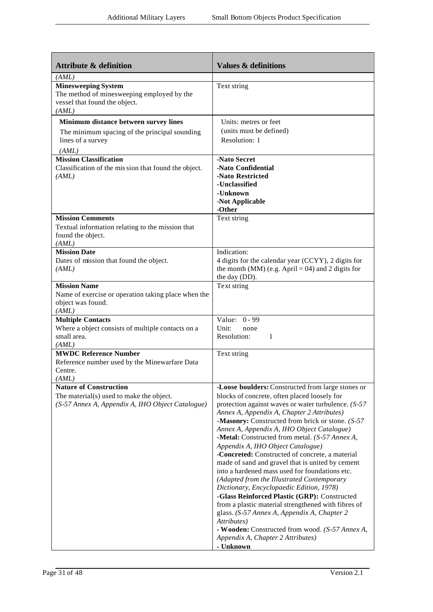| <b>Attribute &amp; definition</b>                                                                                             | <b>Values &amp; definitions</b>                                                                                                                                                                                                                                                                                                                                                                                                                                                                                                                                                                                                                                                                                                                                                                                                                                                                                                  |
|-------------------------------------------------------------------------------------------------------------------------------|----------------------------------------------------------------------------------------------------------------------------------------------------------------------------------------------------------------------------------------------------------------------------------------------------------------------------------------------------------------------------------------------------------------------------------------------------------------------------------------------------------------------------------------------------------------------------------------------------------------------------------------------------------------------------------------------------------------------------------------------------------------------------------------------------------------------------------------------------------------------------------------------------------------------------------|
| (AML)<br><b>Minesweeping System</b><br>The method of minesweeping employed by the<br>vessel that found the object.<br>(AML)   | Text string                                                                                                                                                                                                                                                                                                                                                                                                                                                                                                                                                                                                                                                                                                                                                                                                                                                                                                                      |
| Minimum distance between survey lines<br>The minimum spacing of the principal sounding<br>lines of a survey<br>(AML)          | Units: metres or feet<br>(units must be defined)<br>Resolution: 1                                                                                                                                                                                                                                                                                                                                                                                                                                                                                                                                                                                                                                                                                                                                                                                                                                                                |
| <b>Mission Classification</b><br>Classification of the mis sion that found the object.<br>(AML)                               | -Nato Secret<br>-Nato Confidential<br>-Nato Restricted<br>-Unclassified<br>-Unknown<br>-Not Applicable<br>-Other                                                                                                                                                                                                                                                                                                                                                                                                                                                                                                                                                                                                                                                                                                                                                                                                                 |
| <b>Mission Comments</b><br>Textual information relating to the mission that<br>found the object.<br>(AML)                     | Text string                                                                                                                                                                                                                                                                                                                                                                                                                                                                                                                                                                                                                                                                                                                                                                                                                                                                                                                      |
| <b>Mission Date</b><br>Dates of mission that found the object.<br>(AML)                                                       | Indication:<br>4 digits for the calendar year (CCYY), 2 digits for<br>the month (MM) (e.g. April = 04) and 2 digits for<br>the day (DD).                                                                                                                                                                                                                                                                                                                                                                                                                                                                                                                                                                                                                                                                                                                                                                                         |
| <b>Mission Name</b><br>Name of exercise or operation taking place when the<br>object was found.<br>(AML)                      | Text string                                                                                                                                                                                                                                                                                                                                                                                                                                                                                                                                                                                                                                                                                                                                                                                                                                                                                                                      |
| <b>Multiple Contacts</b><br>Where a object consists of multiple contacts on a<br>small area.<br>(AML)                         | Value: 0 - 99<br>Unit:<br>none<br>Resolution:<br>-1                                                                                                                                                                                                                                                                                                                                                                                                                                                                                                                                                                                                                                                                                                                                                                                                                                                                              |
| <b>MWDC Reference Number</b><br>Reference number used by the Minewarfare Data<br>Centre.<br>(AML)                             | Text string                                                                                                                                                                                                                                                                                                                                                                                                                                                                                                                                                                                                                                                                                                                                                                                                                                                                                                                      |
| <b>Nature of Construction</b><br>The material(s) used to make the object.<br>(S-57 Annex A, Appendix A, IHO Object Catalogue) | -Loose boulders: Constructed from large stones or<br>blocks of concrete, often placed loosely for<br>protection against waves or water turbulence. $(S-57)$<br>Annex A, Appendix A, Chapter 2 Attributes)<br>-Masonry: Constructed from brick or stone. (S-57)<br>Annex A, Appendix A, IHO Object Catalogue)<br>-Metal: Constructed from metal. (S-57 Annex A,<br>Appendix A, IHO Object Catalogue)<br>-Concreted: Constructed of concrete, a material<br>made of sand and gravel that is united by cement<br>into a hardened mass used for foundations etc.<br>(Adapted from the Illustrated Contemporary<br>Dictionary, Encyclopaedic Edition, 1978)<br>-Glass Reinforced Plastic (GRP): Constructed<br>from a plastic material strengthened with fibres of<br>glass. (S-57 Annex A, Appendix A, Chapter 2<br>Attributes)<br>- Wooden: Constructed from wood. (S-57 Annex A,<br>Appendix A, Chapter 2 Attributes)<br>- Unknown |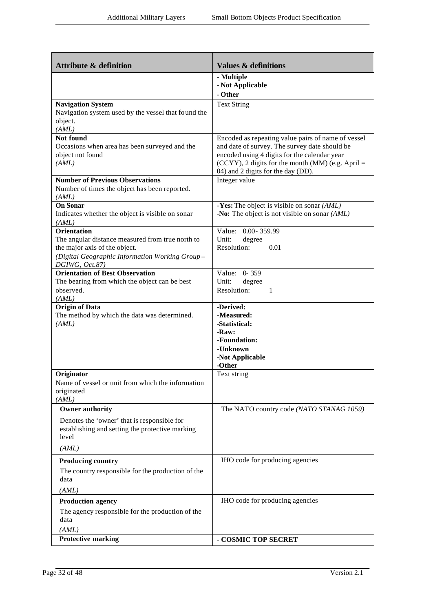| <b>Attribute &amp; definition</b>                                                                                                                                           | <b>Values &amp; definitions</b>                                                                                                                                                                                                                   |
|-----------------------------------------------------------------------------------------------------------------------------------------------------------------------------|---------------------------------------------------------------------------------------------------------------------------------------------------------------------------------------------------------------------------------------------------|
|                                                                                                                                                                             | - Multiple<br>- Not Applicable<br>- Other                                                                                                                                                                                                         |
| <b>Navigation System</b><br>Navigation system used by the vessel that found the<br>object.<br>(AML)                                                                         | <b>Text String</b>                                                                                                                                                                                                                                |
| Not found<br>Occasions when area has been surveyed and the<br>object not found<br>(AML)                                                                                     | Encoded as repeating value pairs of name of vessel<br>and date of survey. The survey date should be<br>encoded using 4 digits for the calendar year<br>$(CCYY)$ , 2 digits for the month (MM) (e.g. April =<br>04) and 2 digits for the day (DD). |
| <b>Number of Previous Observations</b><br>Number of times the object has been reported.<br>(AML)                                                                            | Integer value                                                                                                                                                                                                                                     |
| <b>On Sonar</b><br>Indicates whether the object is visible on sonar<br>(AML)                                                                                                | -Yes: The object is visible on sonar $(AML)$<br>-No: The object is not visible on sonar $(AML)$                                                                                                                                                   |
| <b>Orientation</b><br>The angular distance measured from true north to<br>the major axis of the object.<br>(Digital Geographic Information Working Group-<br>DGIWG, Oct.87) | Value: 0.00-359.99<br>Unit:<br>degree<br>Resolution:<br>0.01                                                                                                                                                                                      |
| <b>Orientation of Best Observation</b><br>The bearing from which the object can be best<br>observed.<br>(AML)                                                               | Value: 0-359<br>Unit:<br>degree<br>Resolution:<br>1                                                                                                                                                                                               |
| <b>Origin of Data</b><br>The method by which the data was determined.<br>(AML)                                                                                              | -Derived:<br>-Measured:<br>-Statistical:<br>-Raw:<br>-Foundation:<br>-Unknown<br>-Not Applicable<br>-Other                                                                                                                                        |
| Originator<br>Name of vessel or unit from which the information<br>originated<br>(AML)                                                                                      | Text string                                                                                                                                                                                                                                       |
| <b>Owner authority</b><br>Denotes the 'owner' that is responsible for<br>establishing and setting the protective marking<br>level<br>(AML)                                  | The NATO country code (NATO STANAG 1059)                                                                                                                                                                                                          |
| <b>Producing country</b><br>The country responsible for the production of the<br>data<br>(AML)                                                                              | IHO code for producing agencies                                                                                                                                                                                                                   |
| <b>Production agency</b><br>The agency responsible for the production of the<br>data<br>(AML)                                                                               | IHO code for producing agencies                                                                                                                                                                                                                   |
| <b>Protective marking</b>                                                                                                                                                   | - COSMIC TOP SECRET                                                                                                                                                                                                                               |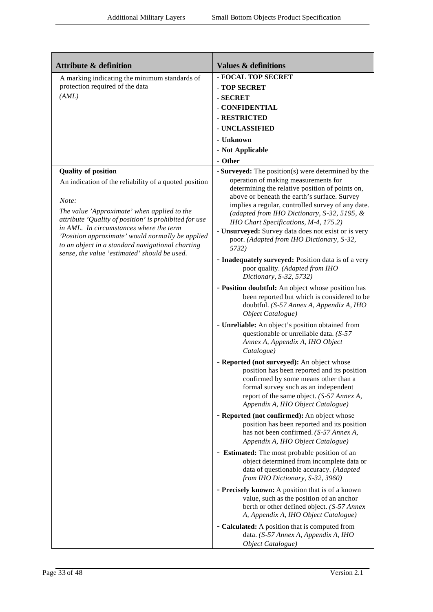| <b>Attribute &amp; definition</b>                                                                                                                                                                                                                        | <b>Values &amp; definitions</b>                                                                                                                                                                                                                                                                   |
|----------------------------------------------------------------------------------------------------------------------------------------------------------------------------------------------------------------------------------------------------------|---------------------------------------------------------------------------------------------------------------------------------------------------------------------------------------------------------------------------------------------------------------------------------------------------|
| A marking indicating the minimum standards of                                                                                                                                                                                                            | - FOCAL TOP SECRET                                                                                                                                                                                                                                                                                |
| protection required of the data                                                                                                                                                                                                                          | - TOP SECRET                                                                                                                                                                                                                                                                                      |
| (AML)                                                                                                                                                                                                                                                    | - SECRET                                                                                                                                                                                                                                                                                          |
|                                                                                                                                                                                                                                                          | - CONFIDENTIAL                                                                                                                                                                                                                                                                                    |
|                                                                                                                                                                                                                                                          | - RESTRICTED                                                                                                                                                                                                                                                                                      |
|                                                                                                                                                                                                                                                          | - UNCLASSIFIED                                                                                                                                                                                                                                                                                    |
|                                                                                                                                                                                                                                                          | - Unknown                                                                                                                                                                                                                                                                                         |
|                                                                                                                                                                                                                                                          |                                                                                                                                                                                                                                                                                                   |
|                                                                                                                                                                                                                                                          | - Not Applicable                                                                                                                                                                                                                                                                                  |
|                                                                                                                                                                                                                                                          | - Other                                                                                                                                                                                                                                                                                           |
| <b>Quality of position</b><br>An indication of the reliability of a quoted position<br>Note:<br>The value 'Approximate' when applied to the                                                                                                              | - Surveyed: The position(s) were determined by the<br>operation of making measurements for<br>determining the relative position of points on,<br>above or beneath the earth's surface. Survey<br>implies a regular, controlled survey of any date.<br>(adapted from IHO Dictionary, S-32, 5195, & |
| attribute 'Quality of position' is prohibited for use<br>in AML. In circumstances where the term<br>'Position approximate' would normally be applied<br>to an object in a standard navigational charting<br>sense, the value 'estimated' should be used. | IHO Chart Specifications, M-4, 175.2)<br>- Unsurveyed: Survey data does not exist or is very<br>poor. (Adapted from IHO Dictionary, S-32,<br>5732)                                                                                                                                                |
|                                                                                                                                                                                                                                                          | - Inadequately surveyed: Position data is of a very<br>poor quality. (Adapted from IHO<br>Dictionary, S-32, 5732)                                                                                                                                                                                 |
|                                                                                                                                                                                                                                                          | - Position doubtful: An object whose position has<br>been reported but which is considered to be<br>doubtful. (S-57 Annex A, Appendix A, IHO<br>Object Catalogue)                                                                                                                                 |
|                                                                                                                                                                                                                                                          | - Unreliable: An object's position obtained from<br>questionable or unreliable data. (S-57<br>Annex A, Appendix A, IHO Object<br>Catalogue)                                                                                                                                                       |
|                                                                                                                                                                                                                                                          | - Reported (not surveyed): An object whose<br>position has been reported and its position<br>confirmed by some means other than a<br>formal survey such as an independent<br>report of the same object. (S-57 Annex A,<br>Appendix A, IHO Object Catalogue)                                       |
|                                                                                                                                                                                                                                                          | - Reported (not confirmed): An object whose<br>position has been reported and its position<br>has not been confirmed. (S-57 Annex A,<br>Appendix A, IHO Object Catalogue)                                                                                                                         |
|                                                                                                                                                                                                                                                          | - Estimated: The most probable position of an<br>object determined from incomplete data or<br>data of questionable accuracy. (Adapted<br>from IHO Dictionary, S-32, 3960)                                                                                                                         |
|                                                                                                                                                                                                                                                          | - Precisely known: A position that is of a known<br>value, such as the position of an anchor<br>berth or other defined object. (S-57 Annex<br>A, Appendix A, IHO Object Catalogue)                                                                                                                |
|                                                                                                                                                                                                                                                          | - Calculated: A position that is computed from<br>data. (S-57 Annex A, Appendix A, IHO<br>Object Catalogue)                                                                                                                                                                                       |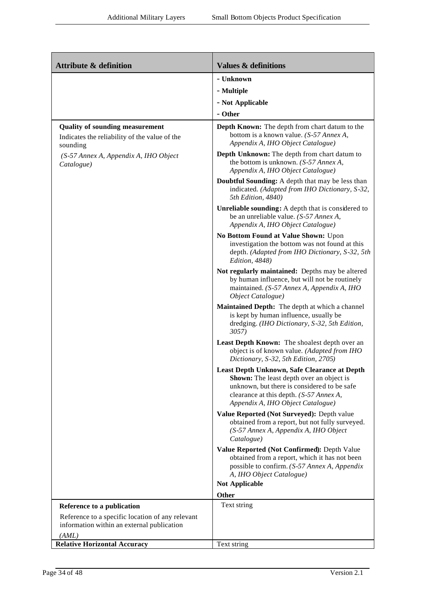| <b>Attribute &amp; definition</b>                                                                   | <b>Values &amp; definitions</b>                                                                                                                                                                                         |
|-----------------------------------------------------------------------------------------------------|-------------------------------------------------------------------------------------------------------------------------------------------------------------------------------------------------------------------------|
|                                                                                                     | - Unknown                                                                                                                                                                                                               |
|                                                                                                     | - Multiple                                                                                                                                                                                                              |
|                                                                                                     | - Not Applicable                                                                                                                                                                                                        |
|                                                                                                     | - Other                                                                                                                                                                                                                 |
| <b>Quality of sounding measurement</b><br>Indicates the reliability of the value of the<br>sounding | <b>Depth Known:</b> The depth from chart datum to the<br>bottom is a known value. (S-57 Annex A,<br>Appendix A, IHO Object Catalogue)                                                                                   |
| (S-57 Annex A, Appendix A, IHO Object<br>Catalogue)                                                 | Depth Unknown: The depth from chart datum to<br>the bottom is unknown. $(S-57 \text{ } \text{Annex A},$<br>Appendix A, IHO Object Catalogue)                                                                            |
|                                                                                                     | Doubtful Sounding: A depth that may be less than<br>indicated. (Adapted from IHO Dictionary, S-32,<br>5th Edition, 4840)                                                                                                |
|                                                                                                     | Unreliable sounding: A depth that is considered to<br>be an unreliable value. $(S-57 \text{ }Annex\text{ }A,$<br>Appendix A, IHO Object Catalogue)                                                                      |
|                                                                                                     | No Bottom Found at Value Shown: Upon<br>investigation the bottom was not found at this<br>depth. (Adapted from IHO Dictionary, S-32, 5th<br>Edition, 4848)                                                              |
|                                                                                                     | Not regularly maintained: Depths may be altered<br>by human influence, but will not be routinely<br>maintained. (S-57 Annex A, Appendix A, IHO<br>Object Catalogue)                                                     |
|                                                                                                     | Maintained Depth: The depth at which a channel<br>is kept by human influence, usually be<br>dredging. (IHO Dictionary, S-32, 5th Edition,<br>3057)                                                                      |
|                                                                                                     | Least Depth Known: The shoalest depth over an<br>object is of known value. (Adapted from IHO<br>Dictionary, S-32, 5th Edition, 2705)                                                                                    |
|                                                                                                     | Least Depth Unknown, Safe Clearance at Depth<br>Shown: The least depth over an object is<br>unknown, but there is considered to be safe<br>clearance at this depth. (S-57 Annex A,<br>Appendix A, IHO Object Catalogue) |
|                                                                                                     | Value Reported (Not Surveyed): Depth value<br>obtained from a report, but not fully surveyed.<br>(S-57 Annex A, Appendix A, IHO Object<br>Catalogue)                                                                    |
|                                                                                                     | Value Reported (Not Confirmed): Depth Value<br>obtained from a report, which it has not been<br>possible to confirm. (S-57 Annex A, Appendix<br>A, IHO Object Catalogue)                                                |
|                                                                                                     | <b>Not Applicable</b>                                                                                                                                                                                                   |
|                                                                                                     | Other                                                                                                                                                                                                                   |
| Reference to a publication                                                                          | Text string                                                                                                                                                                                                             |
| Reference to a specific location of any relevant<br>information within an external publication      |                                                                                                                                                                                                                         |
| (AML)<br><b>Relative Horizontal Accuracy</b>                                                        | Text string                                                                                                                                                                                                             |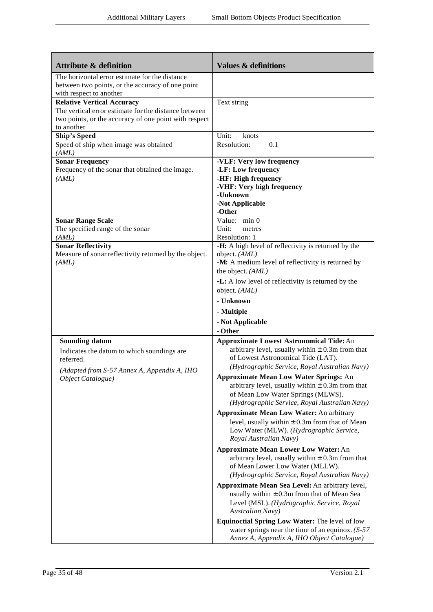| <b>Attribute &amp; definition</b>                                                                                                                                | <b>Values &amp; definitions</b>                                                                                                                                                                                       |
|------------------------------------------------------------------------------------------------------------------------------------------------------------------|-----------------------------------------------------------------------------------------------------------------------------------------------------------------------------------------------------------------------|
| The horizontal error estimate for the distance<br>between two points, or the accuracy of one point<br>with respect to another                                    |                                                                                                                                                                                                                       |
| <b>Relative Vertical Accuracy</b><br>The vertical error estimate for the distance between<br>two points, or the accuracy of one point with respect<br>to another | Text string                                                                                                                                                                                                           |
| <b>Ship's Speed</b><br>Speed of ship when image was obtained<br>(AML)                                                                                            | Unit:<br>knots<br>Resolution:<br>0.1                                                                                                                                                                                  |
| <b>Sonar Frequency</b><br>Frequency of the sonar that obtained the image.<br>(AML)                                                                               | -VLF: Very low frequency<br>-LF: Low frequency<br>-HF: High frequency<br>-VHF: Very high frequency<br>-Unknown<br>-Not Applicable<br>-Other                                                                           |
| <b>Sonar Range Scale</b><br>The specified range of the sonar<br>(AML)                                                                                            | Value: min 0<br>Unit:<br>metres<br>Resolution: 1                                                                                                                                                                      |
| <b>Sonar Reflectivity</b><br>Measure of sonar reflectivity returned by the object.<br>(AML)                                                                      | -H: A high level of reflectivity is returned by the<br>object. (AML)<br>-M: A medium level of reflectivity is returned by<br>the object. (AML)<br>-L: A low level of reflectivity is returned by the<br>object. (AML) |
|                                                                                                                                                                  | - Unknown<br>- Multiple<br>- Not Applicable<br>- Other                                                                                                                                                                |
| <b>Sounding datum</b><br>Indicates the datum to which soundings are<br>referred.                                                                                 | <b>Approximate Lowest Astronomical Tide: An</b><br>arbitrary level, usually within $\pm$ 0.3m from that<br>of Lowest Astronomical Tide (LAT).<br>(Hydrographic Service, Royal Australian Navy)                        |
| (Adapted from S-57 Annex A, Appendix A, IHO<br>Object Catalogue)                                                                                                 | <b>Approximate Mean Low Water Springs: An</b><br>arbitrary level, usually within $\pm$ 0.3m from that<br>of Mean Low Water Springs (MLWS).<br>(Hydrographic Service, Royal Australian Navy)                           |
|                                                                                                                                                                  | <b>Approximate Mean Low Water: An arbitrary</b><br>level, usually within $\pm$ 0.3m from that of Mean<br>Low Water (MLW). (Hydrographic Service,<br>Royal Australian Navy)                                            |
|                                                                                                                                                                  | <b>Approximate Mean Lower Low Water: An</b><br>arbitrary level, usually within $\pm$ 0.3m from that<br>of Mean Lower Low Water (MLLW).<br>(Hydrographic Service, Royal Australian Navy)                               |
|                                                                                                                                                                  | Approximate Mean Sea Level: An arbitrary level,<br>usually within $\pm$ 0.3m from that of Mean Sea<br>Level (MSL). (Hydrographic Service, Royal<br>Australian Navy)                                                   |
|                                                                                                                                                                  | Equinoctial Spring Low Water: The level of low<br>water springs near the time of an equinox. $(S-57)$<br>Annex A, Appendix A, IHO Object Catalogue)                                                                   |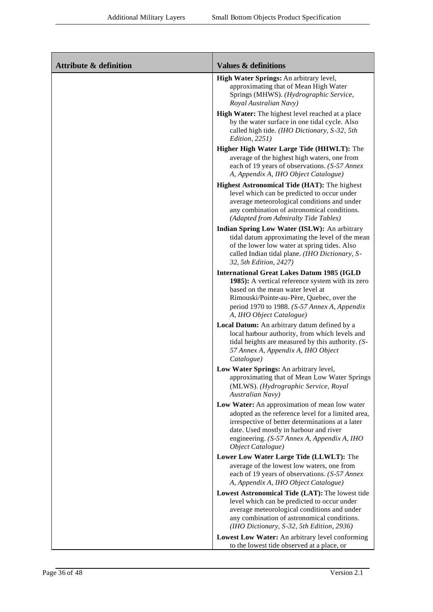| <b>Attribute &amp; definition</b> | <b>Values &amp; definitions</b>                                                                                                                                                                                                                                       |
|-----------------------------------|-----------------------------------------------------------------------------------------------------------------------------------------------------------------------------------------------------------------------------------------------------------------------|
|                                   | High Water Springs: An arbitrary level,<br>approximating that of Mean High Water<br>Springs (MHWS). (Hydrographic Service,<br>Royal Australian Navy)                                                                                                                  |
|                                   | High Water: The highest level reached at a place<br>by the water surface in one tidal cycle. Also<br>called high tide. (IHO Dictionary, S-32, 5th<br>Edition, 2251)                                                                                                   |
|                                   | Higher High Water Large Tide (HHWLT): The<br>average of the highest high waters, one from<br>each of 19 years of observations. (S-57 Annex<br>A, Appendix A, IHO Object Catalogue)                                                                                    |
|                                   | <b>Highest Astronomical Tide (HAT): The highest</b><br>level which can be predicted to occur under<br>average meteorological conditions and under<br>any combination of astronomical conditions.<br>(Adapted from Admiralty Tide Tables)                              |
|                                   | Indian Spring Low Water (ISLW): An arbitrary<br>tidal datum approximating the level of the mean<br>of the lower low water at spring tides. Also<br>called Indian tidal plane. (IHO Dictionary, S-<br>32, 5th Edition, 2427)                                           |
|                                   | <b>International Great Lakes Datum 1985 (IGLD</b><br>1985): A vertical reference system with its zero                                                                                                                                                                 |
|                                   | based on the mean water level at<br>Rimouski/Pointe-au-Père, Quebec, over the<br>period 1970 to 1988. (S-57 Annex A, Appendix<br>A, IHO Object Catalogue)                                                                                                             |
|                                   | Local Datum: An arbitrary datum defined by a<br>local harbour authority, from which levels and<br>tidal heights are measured by this authority. (S-<br>57 Annex A, Appendix A, IHO Object<br>Catalogue)                                                               |
|                                   | Low Water Springs: An arbitrary level,<br>approximating that of Mean Low Water Springs<br>(MLWS). (Hydrographic Service, Royal<br><b>Australian Navy</b> )                                                                                                            |
|                                   | Low Water: An approximation of mean low water<br>adopted as the reference level for a limited area,<br>irrespective of better determinations at a later<br>date. Used mostly in harbour and river<br>engineering. (S-57 Annex A, Appendix A, IHO<br>Object Catalogue) |
|                                   | Lower Low Water Large Tide (LLWLT): The                                                                                                                                                                                                                               |
|                                   | average of the lowest low waters, one from<br>each of 19 years of observations. (S-57 Annex<br>A, Appendix A, IHO Object Catalogue)                                                                                                                                   |
|                                   | Lowest Astronomical Tide (LAT): The lowest tide<br>level which can be predicted to occur under<br>average meteorological conditions and under<br>any combination of astronomical conditions.<br>(IHO Dictionary, S-32, 5th Edition, 2936)                             |
|                                   | Lowest Low Water: An arbitrary level conforming<br>to the lowest tide observed at a place, or                                                                                                                                                                         |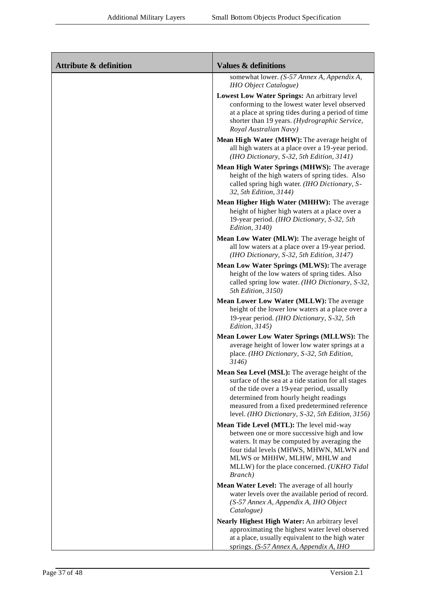| <b>Attribute &amp; definition</b> | <b>Values &amp; definitions</b>                                                                                                                                                                                                                                                                     |
|-----------------------------------|-----------------------------------------------------------------------------------------------------------------------------------------------------------------------------------------------------------------------------------------------------------------------------------------------------|
|                                   | somewhat lower. (S-57 Annex A, Appendix A,<br><b>IHO</b> Object Catalogue)                                                                                                                                                                                                                          |
|                                   | Lowest Low Water Springs: An arbitrary level<br>conforming to the lowest water level observed<br>at a place at spring tides during a period of time<br>shorter than 19 years. (Hydrographic Service,<br>Royal Australian Navy)                                                                      |
|                                   | Mean High Water (MHW): The average height of<br>all high waters at a place over a 19-year period.<br>(IHO Dictionary, S-32, 5th Edition, 3141)                                                                                                                                                      |
|                                   | Mean High Water Springs (MHWS): The average<br>height of the high waters of spring tides. Also<br>called spring high water. (IHO Dictionary, S-<br>32, 5th Edition, 3144)                                                                                                                           |
|                                   | Mean Higher High Water (MHHW): The average<br>height of higher high waters at a place over a<br>19-year period. (IHO Dictionary, S-32, 5th<br>Edition, 3140)                                                                                                                                        |
|                                   | Mean Low Water (MLW): The average height of<br>all low waters at a place over a 19-year period.<br>(IHO Dictionary, S-32, 5th Edition, 3147)                                                                                                                                                        |
|                                   | Mean Low Water Springs (MLWS): The average<br>height of the low waters of spring tides. Also<br>called spring low water. (IHO Dictionary, S-32,<br>5th Edition, 3150)                                                                                                                               |
|                                   | Mean Lower Low Water (MLLW): The average<br>height of the lower low waters at a place over a<br>19-year period. (IHO Dictionary, S-32, 5th<br><i>Edition</i> , 3145)                                                                                                                                |
|                                   | Mean Lower Low Water Springs (MLLWS): The<br>average height of lower low water springs at a<br>place. (IHO Dictionary, S-32, 5th Edition,<br>3146)                                                                                                                                                  |
|                                   | Mean Sea Level (MSL): The average height of the<br>surface of the sea at a tide station for all stages<br>of the tide over a 19-year period, usually<br>determined from hourly height readings<br>measured from a fixed predetermined reference<br>level. (IHO Dictionary, S-32, 5th Edition, 3156) |
|                                   | Mean Tide Level (MTL): The level mid-way<br>between one or more successive high and low<br>waters. It may be computed by averaging the<br>four tidal levels (MHWS, MHWN, MLWN and<br>MLWS or MHHW, MLHW, MHLW and<br>MLLW) for the place concerned. (UKHO Tidal<br>Branch)                          |
|                                   | Mean Water Level: The average of all hourly<br>water levels over the available period of record.<br>(S-57 Annex A, Appendix A, IHO Object<br>Catalogue)                                                                                                                                             |
|                                   | Nearly Highest High Water: An arbitrary level<br>approximating the highest water level observed<br>at a place, usually equivalent to the high water<br>springs. (S-57 Annex A, Appendix A, IHO                                                                                                      |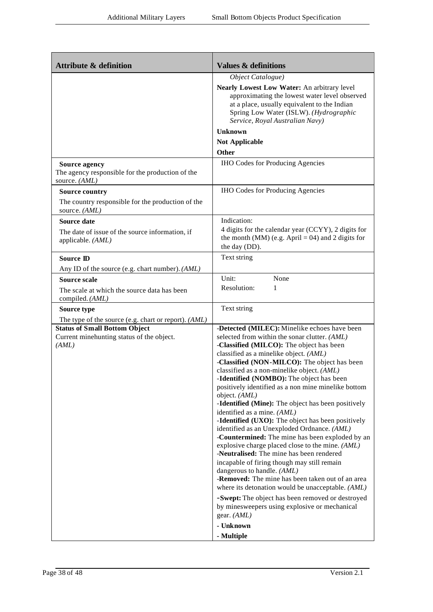| <b>Attribute &amp; definition</b>                                                         | <b>Values &amp; definitions</b>                                                                                                                                                                                           |
|-------------------------------------------------------------------------------------------|---------------------------------------------------------------------------------------------------------------------------------------------------------------------------------------------------------------------------|
|                                                                                           | Object Catalogue)                                                                                                                                                                                                         |
|                                                                                           | Nearly Lowest Low Water: An arbitrary level<br>approximating the lowest water level observed<br>at a place, usually equivalent to the Indian<br>Spring Low Water (ISLW). (Hydrographic<br>Service, Royal Australian Navy) |
|                                                                                           | <b>Unknown</b>                                                                                                                                                                                                            |
|                                                                                           | <b>Not Applicable</b>                                                                                                                                                                                                     |
|                                                                                           | <b>Other</b>                                                                                                                                                                                                              |
| <b>Source agency</b><br>The agency responsible for the production of the<br>source. (AML) | <b>IHO Codes for Producing Agencies</b>                                                                                                                                                                                   |
| <b>Source country</b>                                                                     | <b>IHO Codes for Producing Agencies</b>                                                                                                                                                                                   |
| The country responsible for the production of the<br>source. (AML)                        |                                                                                                                                                                                                                           |
| Source date                                                                               | Indication:                                                                                                                                                                                                               |
| The date of issue of the source information, if<br>applicable. (AML)                      | 4 digits for the calendar year (CCYY), 2 digits for<br>the month (MM) (e.g. April = 04) and 2 digits for<br>the day (DD).                                                                                                 |
| <b>Source ID</b>                                                                          | Text string                                                                                                                                                                                                               |
| Any ID of the source (e.g. chart number). (AML)                                           |                                                                                                                                                                                                                           |
| <b>Source scale</b>                                                                       | Unit:<br>None                                                                                                                                                                                                             |
| The scale at which the source data has been<br>compiled. (AML)                            | Resolution:<br>1                                                                                                                                                                                                          |
| Source type                                                                               | Text string                                                                                                                                                                                                               |
| The type of the source (e.g. chart or report). (AML)                                      |                                                                                                                                                                                                                           |
| <b>Status of Small Bottom Object</b>                                                      | -Detected (MILEC): Minelike echoes have been                                                                                                                                                                              |
| Current minehunting status of the object.<br>(AML)                                        | selected from within the sonar clutter. (AML)<br>-Classified (MILCO): The object has been<br>classified as a minelike object. (AML)                                                                                       |
|                                                                                           | -Classified (NON-MILCO): The object has been<br>classified as a non-minelike object. (AML)                                                                                                                                |
|                                                                                           | -Identified (NOMBO): The object has been<br>positively identified as a non mine minelike bottom                                                                                                                           |
|                                                                                           | object. (AML)<br>-Identified (Mine): The object has been positively<br>identified as a mine. (AML)                                                                                                                        |
|                                                                                           | -Identified (UXO): The object has been positively                                                                                                                                                                         |
|                                                                                           | identified as an Unexploded Ordnance. (AML)                                                                                                                                                                               |
|                                                                                           | -Countermined: The mine has been exploded by an<br>explosive charge placed close to the mine. (AML)<br>-Neutralised: The mine has been rendered                                                                           |
|                                                                                           | incapable of firing though may still remain<br>dangerous to handle. (AML)                                                                                                                                                 |
|                                                                                           | -Removed: The mine has been taken out of an area                                                                                                                                                                          |
|                                                                                           | where its detonation would be unacceptable. (AML)                                                                                                                                                                         |
|                                                                                           | -Swept: The object has been removed or destroyed<br>by minesweepers using explosive or mechanical                                                                                                                         |
|                                                                                           | gear. $(AML)$                                                                                                                                                                                                             |
|                                                                                           | - Unknown                                                                                                                                                                                                                 |
|                                                                                           | - Multiple                                                                                                                                                                                                                |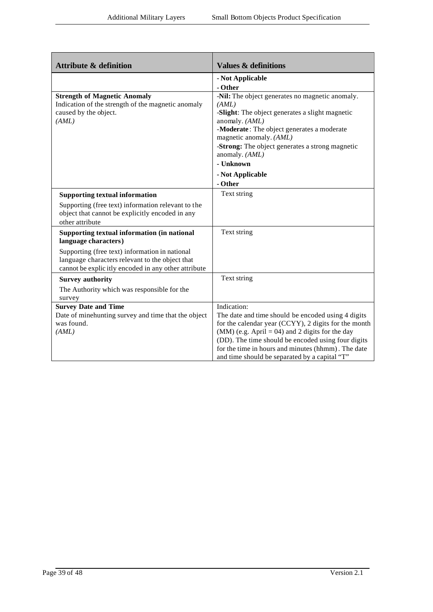| <b>Attribute &amp; definition</b>                                                         | <b>Values &amp; definitions</b>                                                                         |
|-------------------------------------------------------------------------------------------|---------------------------------------------------------------------------------------------------------|
|                                                                                           | - Not Applicable                                                                                        |
|                                                                                           | - Other                                                                                                 |
| <b>Strength of Magnetic Anomaly</b><br>Indication of the strength of the magnetic anomaly | -Nil: The object generates no magnetic anomaly.<br>(AML)                                                |
| caused by the object.                                                                     | -Slight: The object generates a slight magnetic                                                         |
| (AML)                                                                                     | anomaly. (AML)                                                                                          |
|                                                                                           | -Moderate: The object generates a moderate                                                              |
|                                                                                           | magnetic anomaly. (AML)                                                                                 |
|                                                                                           | -Strong: The object generates a strong magnetic                                                         |
|                                                                                           | anomaly. (AML)                                                                                          |
|                                                                                           | - Unknown                                                                                               |
|                                                                                           | - Not Applicable                                                                                        |
|                                                                                           | - Other                                                                                                 |
| <b>Supporting textual information</b>                                                     | Text string                                                                                             |
| Supporting (free text) information relevant to the                                        |                                                                                                         |
| object that cannot be explicitly encoded in any                                           |                                                                                                         |
| other attribute                                                                           |                                                                                                         |
| Supporting textual information (in national<br>language characters)                       | Text string                                                                                             |
| Supporting (free text) information in national                                            |                                                                                                         |
| language characters relevant to the object that                                           |                                                                                                         |
| cannot be explicitly encoded in any other attribute                                       |                                                                                                         |
| <b>Survey authority</b>                                                                   | Text string                                                                                             |
| The Authority which was responsible for the                                               |                                                                                                         |
| survey                                                                                    |                                                                                                         |
| <b>Survey Date and Time</b>                                                               | Indication:                                                                                             |
| Date of minehunting survey and time that the object                                       | The date and time should be encoded using 4 digits                                                      |
| was found.                                                                                | for the calendar year (CCYY), 2 digits for the month                                                    |
| (AML)                                                                                     | $(MM)$ (e.g. April = 04) and 2 digits for the day<br>(DD). The time should be encoded using four digits |
|                                                                                           | for the time in hours and minutes (hhmm). The date                                                      |
|                                                                                           | and time should be separated by a capital "T"                                                           |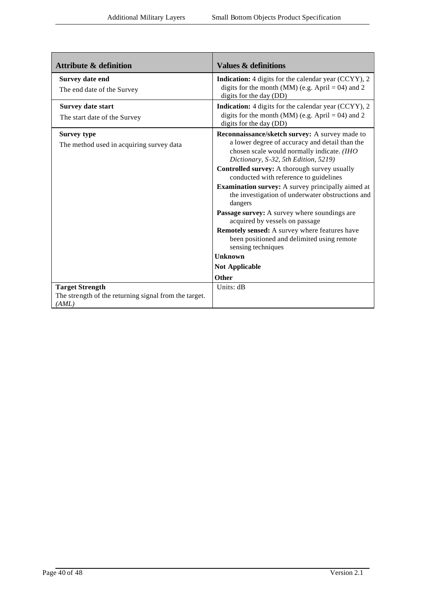| <b>Attribute &amp; definition</b>                              | <b>Values &amp; definitions</b>                                                                                                                                                                                                                                                                                                                                                                                                                                                                                                                                                                                                                                                      |
|----------------------------------------------------------------|--------------------------------------------------------------------------------------------------------------------------------------------------------------------------------------------------------------------------------------------------------------------------------------------------------------------------------------------------------------------------------------------------------------------------------------------------------------------------------------------------------------------------------------------------------------------------------------------------------------------------------------------------------------------------------------|
| <b>Survey date end</b><br>The end date of the Survey           | Indication: 4 digits for the calendar year (CCYY), 2<br>digits for the month (MM) (e.g. April = 04) and 2<br>digits for the day (DD)                                                                                                                                                                                                                                                                                                                                                                                                                                                                                                                                                 |
| Survey date start<br>The start date of the Survey              | <b>Indication:</b> 4 digits for the calendar year (CCYY), 2<br>digits for the month (MM) (e.g. April = 04) and 2<br>digits for the day (DD)                                                                                                                                                                                                                                                                                                                                                                                                                                                                                                                                          |
| <b>Survey type</b><br>The method used in acquiring survey data | Reconnaissance/sketch survey: A survey made to<br>a lower degree of accuracy and detail than the<br>chosen scale would normally indicate. (IHO<br>Dictionary, S-32, 5th Edition, 5219)<br>Controlled survey: A thorough survey usually<br>conducted with reference to guidelines<br><b>Examination survey:</b> A survey principally aimed at<br>the investigation of underwater obstructions and<br>dangers<br><b>Passage survey:</b> A survey where soundings are<br>acquired by vessels on passage<br><b>Remotely sensed:</b> A survey where features have<br>been positioned and delimited using remote<br>sensing techniques<br>Unknown<br><b>Not Applicable</b><br><b>Other</b> |
| <b>Target Strength</b>                                         | Units: dB                                                                                                                                                                                                                                                                                                                                                                                                                                                                                                                                                                                                                                                                            |
| The strength of the returning signal from the target.<br>(AML) |                                                                                                                                                                                                                                                                                                                                                                                                                                                                                                                                                                                                                                                                                      |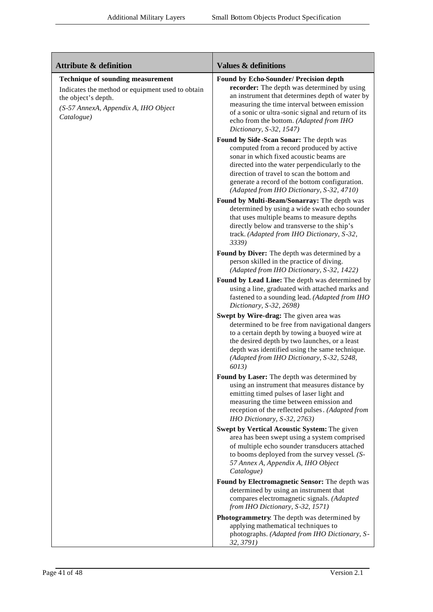| <b>Attribute &amp; definition</b>                                                                                                                                         | <b>Values &amp; definitions</b>                                                                                                                                                                                                                                                                                                |
|---------------------------------------------------------------------------------------------------------------------------------------------------------------------------|--------------------------------------------------------------------------------------------------------------------------------------------------------------------------------------------------------------------------------------------------------------------------------------------------------------------------------|
| <b>Technique of sounding measurement</b><br>Indicates the method or equipment used to obtain<br>the object's depth.<br>(S-57 AnnexA, Appendix A, IHO Object<br>Catalogue) | Found by Echo-Sounder/ Precision depth<br>recorder: The depth was determined by using<br>an instrument that determines depth of water by<br>measuring the time interval between emission<br>of a sonic or ultra-sonic signal and return of its<br>echo from the bottom. (Adapted from IHO<br>Dictionary, S-32, 1547)           |
|                                                                                                                                                                           | Found by Side-Scan Sonar: The depth was<br>computed from a record produced by active<br>sonar in which fixed acoustic beams are<br>directed into the water perpendicularly to the<br>direction of travel to scan the bottom and<br>generate a record of the bottom configuration.<br>(Adapted from IHO Dictionary, S-32, 4710) |
|                                                                                                                                                                           | Found by Multi-Beam/Sonarray: The depth was<br>determined by using a wide swath echo sounder<br>that uses multiple beams to measure depths<br>directly below and transverse to the ship's<br>track. (Adapted from IHO Dictionary, S-32,<br>3339)                                                                               |
|                                                                                                                                                                           | Found by Diver: The depth was determined by a<br>person skilled in the practice of diving.<br>(Adapted from IHO Dictionary, S-32, 1422)                                                                                                                                                                                        |
|                                                                                                                                                                           | Found by Lead Line: The depth was determined by<br>using a line, graduated with attached marks and<br>fastened to a sounding lead. (Adapted from IHO<br>Dictionary, S-32, 2698)                                                                                                                                                |
|                                                                                                                                                                           | Swept by Wire-drag: The given area was<br>determined to be free from navigational dangers<br>to a certain depth by towing a buoyed wire at<br>the desired depth by two launches, or a least<br>depth was identified using the same technique.<br>(Adapted from IHO Dictionary, S-32, 5248,<br>6013)                            |
|                                                                                                                                                                           | Found by Laser: The depth was determined by<br>using an instrument that measures distance by<br>emitting timed pulses of laser light and<br>measuring the time between emission and<br>reception of the reflected pulses. (Adapted from<br>IHO Dictionary, S-32, 2763)                                                         |
|                                                                                                                                                                           | Swept by Vertical Acoustic System: The given<br>area has been swept using a system comprised<br>of multiple echo sounder transducers attached<br>to booms deployed from the survey vessel. (S-<br>57 Annex A, Appendix A, IHO Object<br>Catalogue)                                                                             |
|                                                                                                                                                                           | Found by Electromagnetic Sensor: The depth was<br>determined by using an instrument that<br>compares electromagnetic signals. (Adapted<br>from IHO Dictionary, S-32, 1571)                                                                                                                                                     |
|                                                                                                                                                                           | Photogrammetry. The depth was determined by<br>applying mathematical techniques to<br>photographs. (Adapted from IHO Dictionary, S-<br>32, 3791)                                                                                                                                                                               |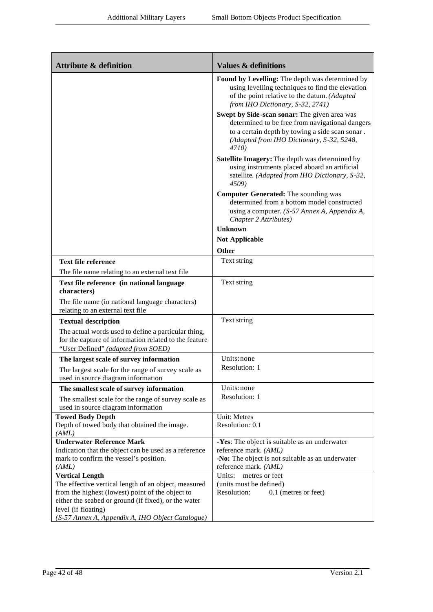| <b>Attribute &amp; definition</b>                                                                                                                  | <b>Values &amp; definitions</b>                                                                                                                                                                          |
|----------------------------------------------------------------------------------------------------------------------------------------------------|----------------------------------------------------------------------------------------------------------------------------------------------------------------------------------------------------------|
|                                                                                                                                                    | Found by Levelling: The depth was determined by<br>using levelling techniques to find the elevation<br>of the point relative to the datum. (Adapted<br>from IHO Dictionary, S-32, 2741)                  |
|                                                                                                                                                    | Swept by Side-scan sonar: The given area was<br>determined to be free from navigational dangers<br>to a certain depth by towing a side scan sonar.<br>(Adapted from IHO Dictionary, S-32, 5248,<br>4710) |
|                                                                                                                                                    | Satellite Imagery: The depth was determined by<br>using instruments placed aboard an artificial<br>satellite. (Adapted from IHO Dictionary, S-32,<br>4509)                                               |
|                                                                                                                                                    | <b>Computer Generated:</b> The sounding was<br>determined from a bottom model constructed<br>using a computer. (S-57 Annex A, Appendix A,<br>Chapter 2 Attributes)                                       |
|                                                                                                                                                    | Unknown                                                                                                                                                                                                  |
|                                                                                                                                                    | <b>Not Applicable</b>                                                                                                                                                                                    |
|                                                                                                                                                    | <b>Other</b>                                                                                                                                                                                             |
| <b>Text file reference</b>                                                                                                                         | Text string                                                                                                                                                                                              |
| The file name relating to an external text file                                                                                                    |                                                                                                                                                                                                          |
| Text file reference (in national language                                                                                                          | Text string                                                                                                                                                                                              |
| characters)                                                                                                                                        |                                                                                                                                                                                                          |
| The file name (in national language characters)                                                                                                    |                                                                                                                                                                                                          |
| relating to an external text file                                                                                                                  |                                                                                                                                                                                                          |
| <b>Textual description</b>                                                                                                                         | Text string                                                                                                                                                                                              |
| The actual words used to define a particular thing,<br>for the capture of information related to the feature<br>"User Defined" (adapted from SOED) |                                                                                                                                                                                                          |
| The largest scale of survey information                                                                                                            | Units: none                                                                                                                                                                                              |
| The largest scale for the range of survey scale as<br>used in source diagram information                                                           | Resolution: 1                                                                                                                                                                                            |
| The smallest scale of survey information                                                                                                           | Units: none                                                                                                                                                                                              |
| The smallest scale for the range of survey scale as<br>used in source diagram information                                                          | Resolution: 1                                                                                                                                                                                            |
| <b>Towed Body Depth</b>                                                                                                                            | Unit: Metres                                                                                                                                                                                             |
| Depth of towed body that obtained the image.                                                                                                       | Resolution: 0.1                                                                                                                                                                                          |
| (AML)<br><b>Underwater Reference Mark</b>                                                                                                          | -Yes: The object is suitable as an underwater                                                                                                                                                            |
| Indication that the object can be used as a reference                                                                                              | reference mark. (AML)                                                                                                                                                                                    |
| mark to confirm the vessel's position.                                                                                                             | -No: The object is not suitable as an underwater                                                                                                                                                         |
| (AML)                                                                                                                                              | reference mark. (AML)                                                                                                                                                                                    |
| <b>Vertical Length</b>                                                                                                                             | Units:<br>metres or feet                                                                                                                                                                                 |
| The effective vertical length of an object, measured                                                                                               | (units must be defined)                                                                                                                                                                                  |
| from the highest (lowest) point of the object to                                                                                                   | Resolution:<br>0.1 (metres or feet)                                                                                                                                                                      |
| either the seabed or ground (if fixed), or the water                                                                                               |                                                                                                                                                                                                          |
| level (if floating)<br>(S-57 Annex A, Appendix A, IHO Object Catalogue)                                                                            |                                                                                                                                                                                                          |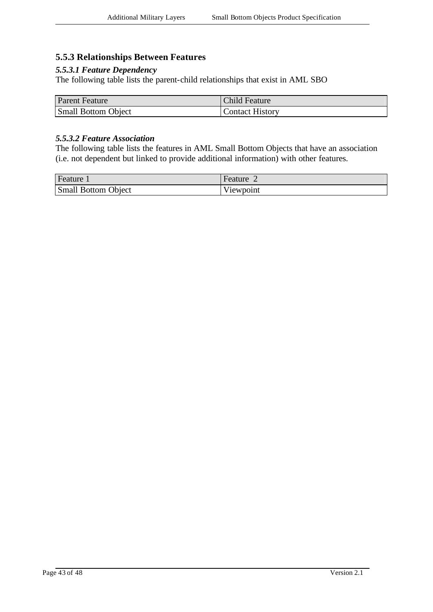#### **5.5.3 Relationships Between Features**

#### *5.5.3.1 Feature Dependency*

The following table lists the parent-child relationships that exist in AML SBO

| <b>Parent Feature</b>      | <b>Child Feature</b>   |
|----------------------------|------------------------|
| <b>Small Bottom Object</b> | <b>Contact History</b> |

#### *5.5.3.2 Feature Association*

The following table lists the features in AML Small Bottom Objects that have an association (i.e. not dependent but linked to provide additional information) with other features.

| Feature 1                  | Feature   |
|----------------------------|-----------|
| <b>Small Bottom Object</b> | Viewpoint |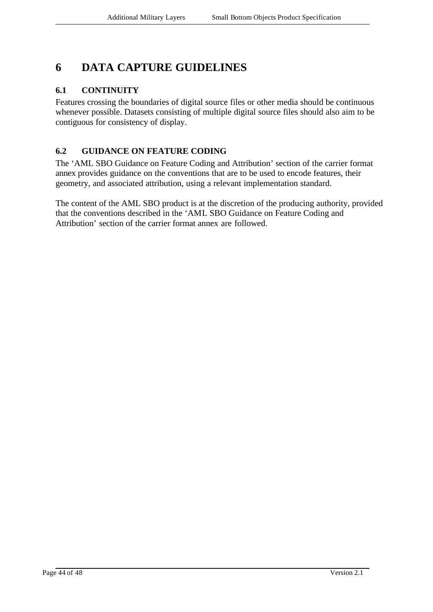# **6 DATA CAPTURE GUIDELINES**

### **6.1 CONTINUITY**

Features crossing the boundaries of digital source files or other media should be continuous whenever possible. Datasets consisting of multiple digital source files should also aim to be contiguous for consistency of display.

### **6.2 GUIDANCE ON FEATURE CODING**

The 'AML SBO Guidance on Feature Coding and Attribution' section of the carrier format annex provides guidance on the conventions that are to be used to encode features, their geometry, and associated attribution, using a relevant implementation standard.

The content of the AML SBO product is at the discretion of the producing authority, provided that the conventions described in the 'AML SBO Guidance on Feature Coding and Attribution' section of the carrier format annex are followed.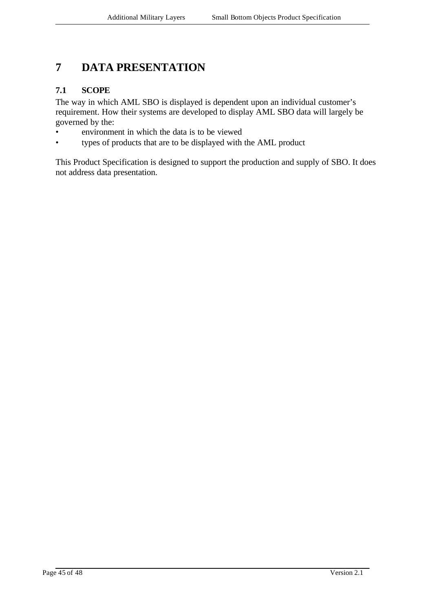# **7 DATA PRESENTATION**

#### **7.1 SCOPE**

The way in which AML SBO is displayed is dependent upon an individual customer's requirement. How their systems are developed to display AML SBO data will largely be governed by the:

- environment in which the data is to be viewed
- types of products that are to be displayed with the AML product

This Product Specification is designed to support the production and supply of SBO. It does not address data presentation.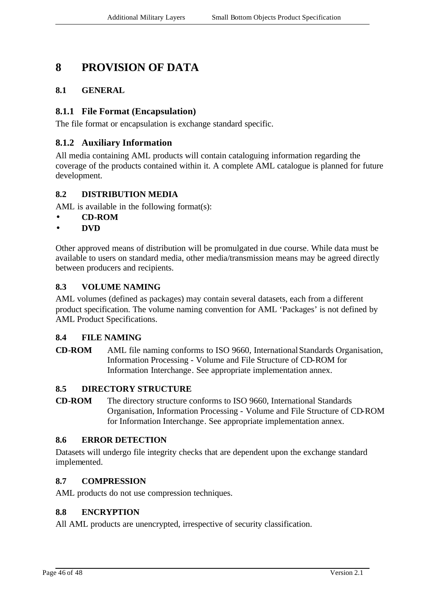## **8 PROVISION OF DATA**

### **8.1 GENERAL**

#### **8.1.1 File Format (Encapsulation)**

The file format or encapsulation is exchange standard specific.

#### **8.1.2 Auxiliary Information**

All media containing AML products will contain cataloguing information regarding the coverage of the products contained within it. A complete AML catalogue is planned for future development.

#### **8.2 DISTRIBUTION MEDIA**

AML is available in the following format(s):

- **CD-ROM**
- **DVD**

Other approved means of distribution will be promulgated in due course. While data must be available to users on standard media, other media/transmission means may be agreed directly between producers and recipients.

#### **8.3 VOLUME NAMING**

AML volumes (defined as packages) may contain several datasets, each from a different product specification. The volume naming convention for AML 'Packages' is not defined by AML Product Specifications.

#### **8.4 FILE NAMING**

**CD-ROM** AML file naming conforms to ISO 9660, International Standards Organisation, Information Processing - Volume and File Structure of CD-ROM for Information Interchange. See appropriate implementation annex.

#### **8.5 DIRECTORY STRUCTURE**

**CD-ROM** The directory structure conforms to ISO 9660, International Standards Organisation, Information Processing - Volume and File Structure of CD-ROM for Information Interchange. See appropriate implementation annex.

#### **8.6 ERROR DETECTION**

Datasets will undergo file integrity checks that are dependent upon the exchange standard implemented.

#### **8.7 COMPRESSION**

AML products do not use compression techniques.

#### **8.8 ENCRYPTION**

All AML products are unencrypted, irrespective of security classification.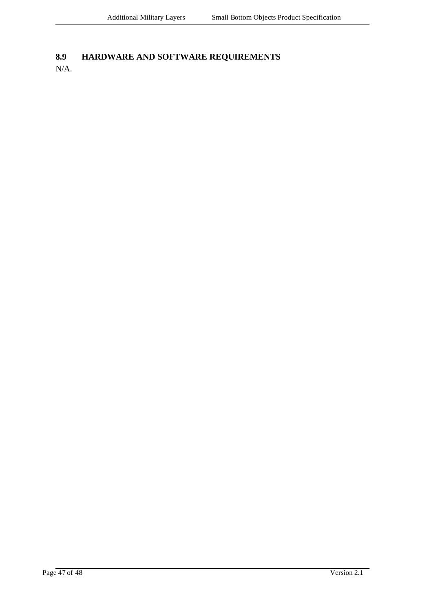# **8.9 HARDWARE AND SOFTWARE REQUIREMENTS**

N/A.